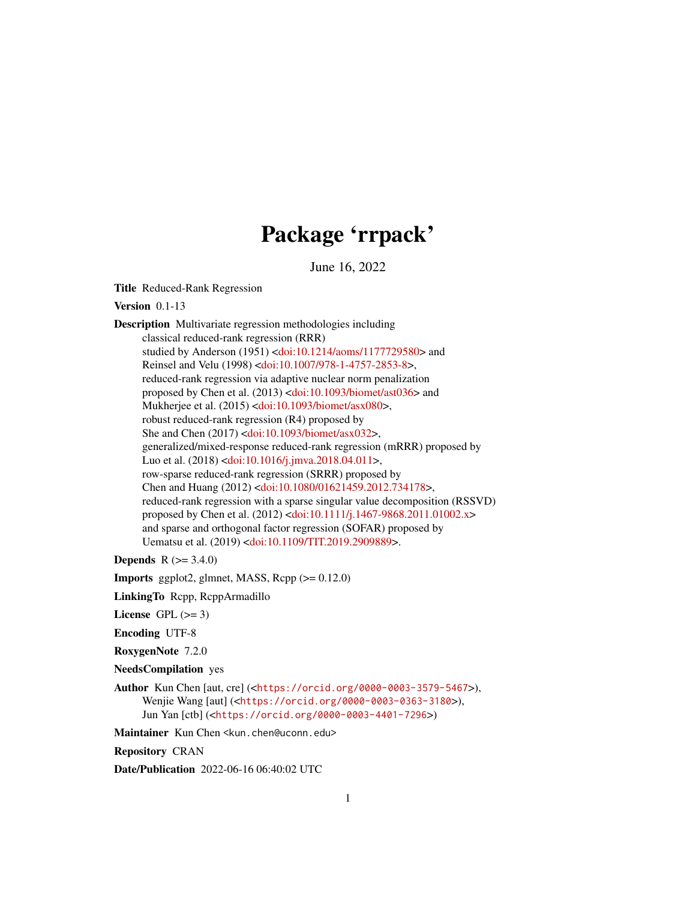# Package 'rrpack'

June 16, 2022

Title Reduced-Rank Regression

Version 0.1-13

Description Multivariate regression methodologies including classical reduced-rank regression (RRR) studied by Anderson (1951) [<doi:10.1214/aoms/1177729580>](https://doi.org/10.1214/aoms/1177729580) and Reinsel and Velu (1998) [<doi:10.1007/978-1-4757-2853-8>](https://doi.org/10.1007/978-1-4757-2853-8), reduced-rank regression via adaptive nuclear norm penalization proposed by Chen et al. (2013) [<doi:10.1093/biomet/ast036>](https://doi.org/10.1093/biomet/ast036) and Mukherjee et al. (2015) [<doi:10.1093/biomet/asx080>](https://doi.org/10.1093/biomet/asx080), robust reduced-rank regression (R4) proposed by She and Chen (2017) [<doi:10.1093/biomet/asx032>](https://doi.org/10.1093/biomet/asx032), generalized/mixed-response reduced-rank regression (mRRR) proposed by Luo et al. (2018) [<doi:10.1016/j.jmva.2018.04.011>](https://doi.org/10.1016/j.jmva.2018.04.011), row-sparse reduced-rank regression (SRRR) proposed by Chen and Huang (2012) [<doi:10.1080/01621459.2012.734178>](https://doi.org/10.1080/01621459.2012.734178), reduced-rank regression with a sparse singular value decomposition (RSSVD) proposed by Chen et al. (2012) [<doi:10.1111/j.1467-9868.2011.01002.x>](https://doi.org/10.1111/j.1467-9868.2011.01002.x) and sparse and orthogonal factor regression (SOFAR) proposed by Uematsu et al. (2019) [<doi:10.1109/TIT.2019.2909889>](https://doi.org/10.1109/TIT.2019.2909889).

**Depends** R  $(>= 3.4.0)$ 

**Imports** ggplot2, glmnet, MASS,  $\text{Rcpp} (> = 0.12.0)$ 

LinkingTo Rcpp, RcppArmadillo

License GPL  $(>= 3)$ 

Encoding UTF-8

RoxygenNote 7.2.0

NeedsCompilation yes

Author Kun Chen [aut, cre] (<<https://orcid.org/0000-0003-3579-5467>>), Wenjie Wang [aut] (<<https://orcid.org/0000-0003-0363-3180>>), Jun Yan [ctb] (<<https://orcid.org/0000-0003-4401-7296>>)

Maintainer Kun Chen <kun.chen@uconn.edu>

Repository CRAN

Date/Publication 2022-06-16 06:40:02 UTC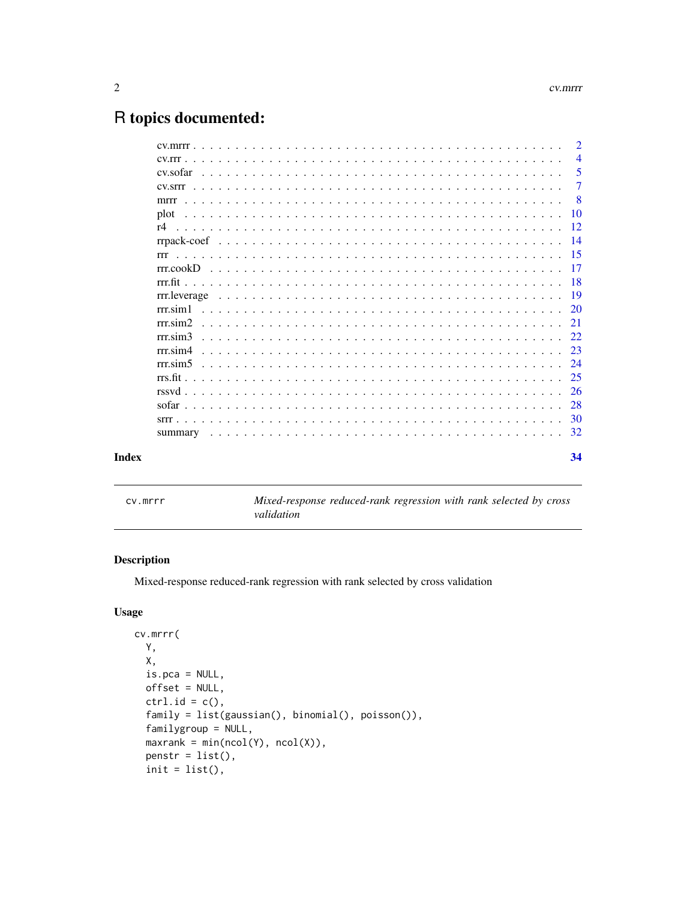## <span id="page-1-0"></span>R topics documented:

|       |                       | 2              |
|-------|-----------------------|----------------|
|       |                       | $\overline{4}$ |
|       |                       | 5              |
|       |                       | 7              |
|       | mrrr                  | -8             |
|       | plot                  | <b>10</b>      |
|       |                       | 12             |
|       |                       | -14            |
|       | rrr                   | 15             |
|       | rrcookD               | 17             |
|       |                       | -18            |
|       |                       | -19            |
|       |                       | <sup>20</sup>  |
|       |                       | 21             |
|       | $rrr \, \text{sim} 3$ | 22             |
|       | $rrr$ sim4            | 23             |
|       |                       | 24             |
|       |                       | 25             |
|       |                       | 26             |
|       |                       | 28             |
|       |                       | 30             |
|       |                       | 32             |
| Index |                       | 34             |
|       |                       |                |

cv.mrrr *Mixed-response reduced-rank regression with rank selected by cross validation*

#### Description

Mixed-response reduced-rank regression with rank selected by cross validation

```
cv.mrrr(
 Y,
 X,
 is.pca = NULL,offset = NULL,
 ctrl.id = c(),
 family = list(gaussian(), binomial(), poisson()),
  familygroup = NULL,
 maxrank = min(ncol(Y), ncol(X)),penstr = list(),
  init = list(),
```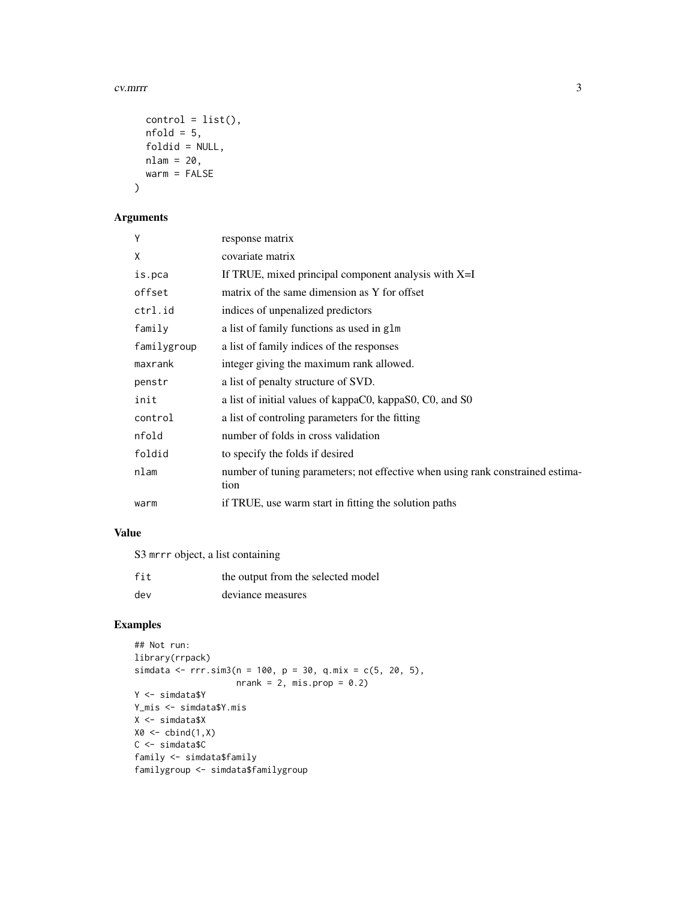#### cv.mrr 3

```
control = list(),nfold = 5,
 foldid = NULL,
 nlam = 20,
 warm = FALSE
)
```
#### Arguments

| Y           | response matrix                                                                        |
|-------------|----------------------------------------------------------------------------------------|
| X           | covariate matrix                                                                       |
| is.pca      | If TRUE, mixed principal component analysis with $X=I$                                 |
| offset      | matrix of the same dimension as Y for offset                                           |
| ctrl.id     | indices of unpenalized predictors                                                      |
| family      | a list of family functions as used in glm                                              |
| familygroup | a list of family indices of the responses                                              |
| maxrank     | integer giving the maximum rank allowed.                                               |
| penstr      | a list of penalty structure of SVD.                                                    |
| init        | a list of initial values of kappaC0, kappaS0, C0, and S0                               |
| control     | a list of controling parameters for the fitting                                        |
| nfold       | number of folds in cross validation                                                    |
| foldid      | to specify the folds if desired                                                        |
| nlam        | number of tuning parameters; not effective when using rank constrained estima-<br>tion |
| warm        | if TRUE, use warm start in fitting the solution paths                                  |

#### Value

S3 mrrr object, a list containing

| fit | the output from the selected model |
|-----|------------------------------------|
| dev | deviance measures                  |

#### Examples

```
## Not run:
library(rrpack)
simdata <- rrr.\sin 3(n = 100, p = 30, q.mix = c(5, 20, 5),nrank = 2, mis.pop = 0.2)
Y <- simdata$Y
Y_mis <- simdata$Y.mis
X <- simdata$X
X0 \leftarrow \text{cbind}(1,X)C <- simdata$C
family <- simdata$family
familygroup <- simdata$familygroup
```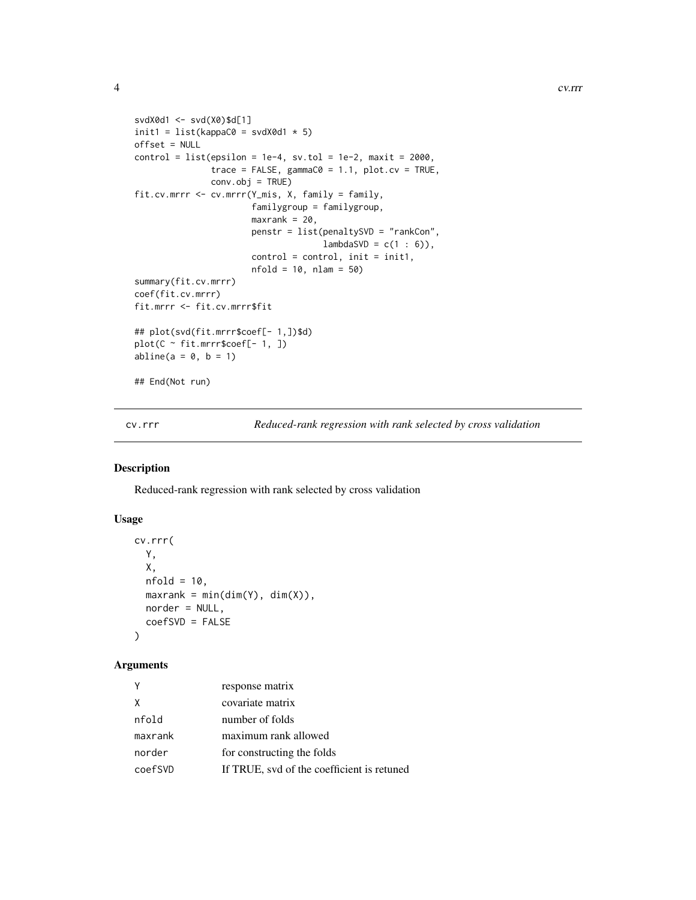```
svdX0d1 <- svd(X0)$d[1]
init1 = list(kappa@ = svdX@d1 * 5)offset = NULL
control = list(epsilon = 1e-4, sv.tol = 1e-2, maxit = 2000,trace = FALSE, gamma@ = 1.1, plot.cv = TRUE,
               conv.obj = TRUE)
fit.cv.mrrr <- cv.mrrr(Y_mis, X, family = family,
                       familygroup = familygroup,
                       maxrank = 20,
                       penstr = list(penaltySVD = "rankCon",
                                     lambdaSVD = c(1 : 6)),control = control, init = init1,
                       nfold = 10, nlam = 50)summary(fit.cv.mrrr)
coef(fit.cv.mrrr)
fit.mrrr <- fit.cv.mrrr$fit
## plot(svd(fit.mrrr$coef[- 1,])$d)
plot(C \sim fit.mrrr$coef[- 1, ])
abline(a = 0, b = 1)## End(Not run)
```
cv.rrr *Reduced-rank regression with rank selected by cross validation*

#### Description

Reduced-rank regression with rank selected by cross validation

#### Usage

```
cv.rrr(
 Y,
 X,
 nfold = 10,maxrank = min(dim(Y), dim(X)),norder = NULL,
  coefSVD = FALSE\lambda
```

|         | response matrix                            |
|---------|--------------------------------------------|
| X       | covariate matrix                           |
| nfold   | number of folds                            |
| maxrank | maximum rank allowed                       |
| norder  | for constructing the folds                 |
| coefSVD | If TRUE, svd of the coefficient is retuned |

<span id="page-3-0"></span>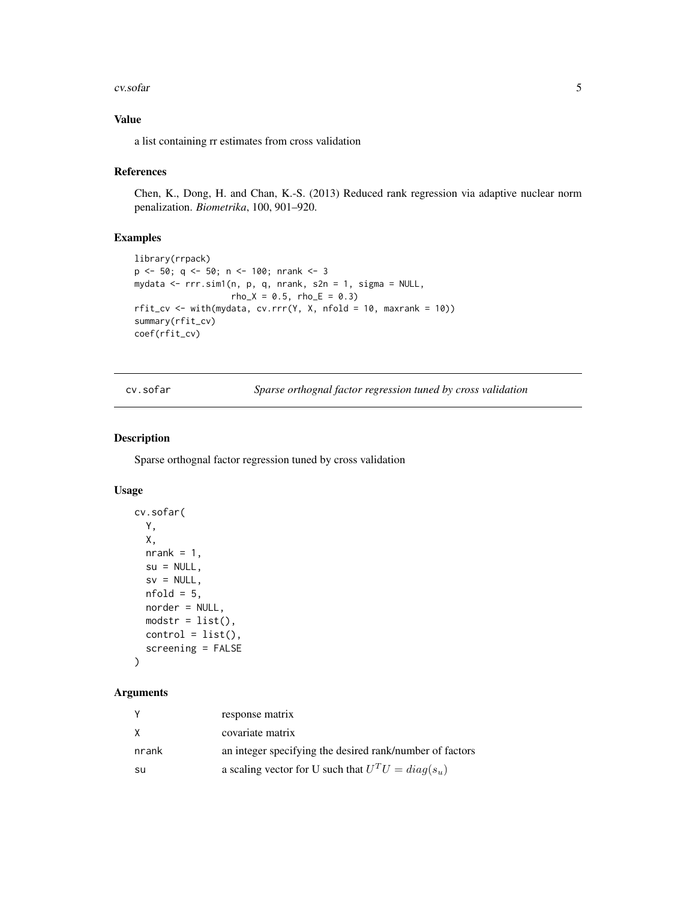#### <span id="page-4-0"></span>cv.sofar 5

#### Value

a list containing rr estimates from cross validation

#### References

Chen, K., Dong, H. and Chan, K.-S. (2013) Reduced rank regression via adaptive nuclear norm penalization. *Biometrika*, 100, 901–920.

#### Examples

```
library(rrpack)
p <- 50; q <- 50; n <- 100; nrank <- 3
mydata <- rrr.sim1(n, p, q, nrank, s2n = 1, sigma = NULL,
                   rho_X = 0.5, rho_E = 0.3rfit\_cv \leftarrow with(mydata, cv.rrr(Y, X, nfold = 10, maxrank = 10))summary(rfit_cv)
coef(rfit_cv)
```
cv.sofar *Sparse orthognal factor regression tuned by cross validation*

#### Description

Sparse orthognal factor regression tuned by cross validation

#### Usage

```
cv.sofar(
 Y,
 X,
 nrank = 1,
 su = NULL,sv = NULL,nfold = 5,
 norder = NULL,
 modstr = list(),control = list(),screening = FALSE
)
```

| Υ     | response matrix                                          |
|-------|----------------------------------------------------------|
| X     | covariate matrix                                         |
| nrank | an integer specifying the desired rank/number of factors |
| su    | a scaling vector for U such that $U^T U = diag(s_u)$     |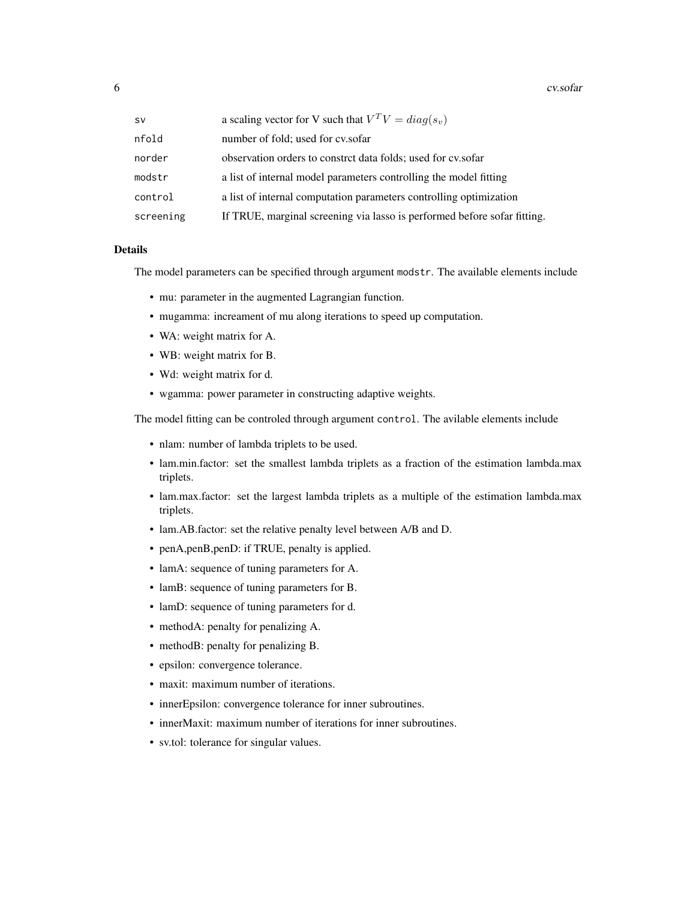6 cv.sofar

| <b>SV</b> | a scaling vector for V such that $V^T V = diag(s_v)$                     |
|-----------|--------------------------------------------------------------------------|
| nfold     | number of fold; used for cv.sofar                                        |
| norder    | observation orders to constrct data folds; used for cy.sofar             |
| modstr    | a list of internal model parameters controlling the model fitting        |
| control   | a list of internal computation parameters controlling optimization       |
| screening | If TRUE, marginal screening via lasso is performed before sofar fitting. |

#### Details

The model parameters can be specified through argument modstr. The available elements include

- mu: parameter in the augmented Lagrangian function.
- mugamma: increament of mu along iterations to speed up computation.
- WA: weight matrix for A.
- WB: weight matrix for B.
- Wd: weight matrix for d.
- wgamma: power parameter in constructing adaptive weights.

The model fitting can be controled through argument control. The avilable elements include

- nlam: number of lambda triplets to be used.
- lam.min.factor: set the smallest lambda triplets as a fraction of the estimation lambda.max triplets.
- lam.max.factor: set the largest lambda triplets as a multiple of the estimation lambda.max triplets.
- lam.AB.factor: set the relative penalty level between A/B and D.
- penA,penB,penD: if TRUE, penalty is applied.
- lamA: sequence of tuning parameters for A.
- lamB: sequence of tuning parameters for B.
- lamD: sequence of tuning parameters for d.
- methodA: penalty for penalizing A.
- methodB: penalty for penalizing B.
- epsilon: convergence tolerance.
- maxit: maximum number of iterations.
- innerEpsilon: convergence tolerance for inner subroutines.
- innerMaxit: maximum number of iterations for inner subroutines.
- sv.tol: tolerance for singular values.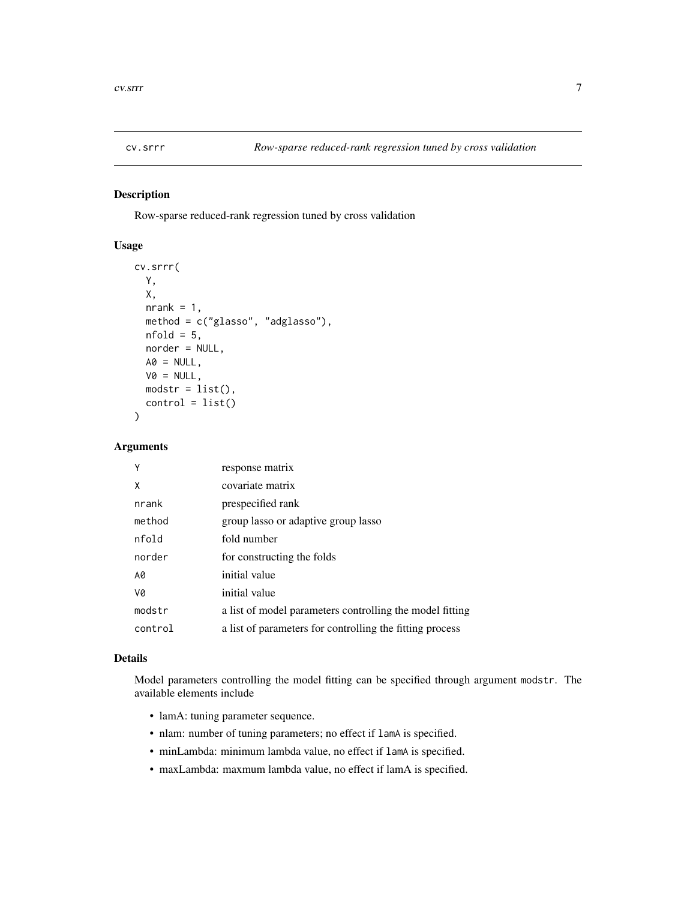<span id="page-6-0"></span>

Row-sparse reduced-rank regression tuned by cross validation

#### Usage

```
cv.srrr(
 Y,
 X,
 nrank = 1,
 method = c("glasso", "adglasso"),
 nfold = 5,
 norder = NULL,
 AO = NULL,VØ = NULL,modstr = list(),control = list())
```
#### Arguments

| Υ       | response matrix                                          |
|---------|----------------------------------------------------------|
| X       | covariate matrix                                         |
| nrank   | prespecified rank                                        |
| method  | group lasso or adaptive group lasso                      |
| nfold   | fold number                                              |
| norder  | for constructing the folds                               |
| A0      | initial value                                            |
| V0      | initial value                                            |
| modstr  | a list of model parameters controlling the model fitting |
| control | a list of parameters for controlling the fitting process |

#### Details

Model parameters controlling the model fitting can be specified through argument modstr. The available elements include

- lamA: tuning parameter sequence.
- nlam: number of tuning parameters; no effect if lamA is specified.
- minLambda: minimum lambda value, no effect if lamA is specified.
- maxLambda: maxmum lambda value, no effect if lamA is specified.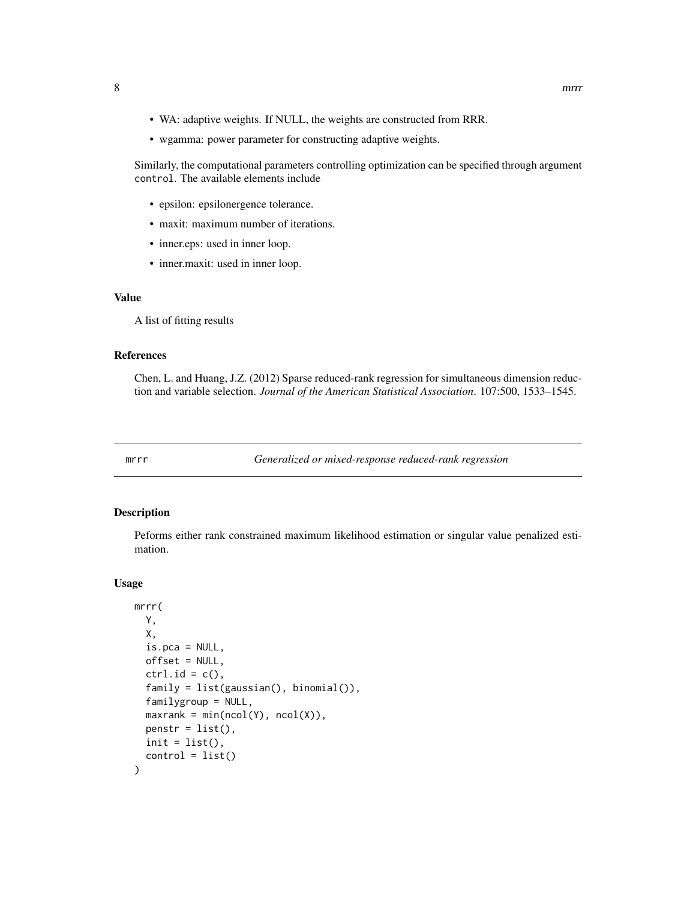- <span id="page-7-0"></span>• WA: adaptive weights. If NULL, the weights are constructed from RRR.
- wgamma: power parameter for constructing adaptive weights.

Similarly, the computational parameters controlling optimization can be specified through argument control. The available elements include

- epsilon: epsilonergence tolerance.
- maxit: maximum number of iterations.
- inner.eps: used in inner loop.
- inner.maxit: used in inner loop.

#### Value

A list of fitting results

#### References

Chen, L. and Huang, J.Z. (2012) Sparse reduced-rank regression for simultaneous dimension reduction and variable selection. *Journal of the American Statistical Association*. 107:500, 1533–1545.

mrrr *Generalized or mixed-response reduced-rank regression*

#### Description

Peforms either rank constrained maximum likelihood estimation or singular value penalized estimation.

```
mrrr(
  Y,
  X,
  is.pca = NULL,offset = NULL,ctrl.id = c(),
  family = list(gaussian(), binomial()),
  familygroup = NULL,
  maxrank = min(ncol(Y), ncol(X)),penstr = list(),
  init = list(),
  control = list()
)
```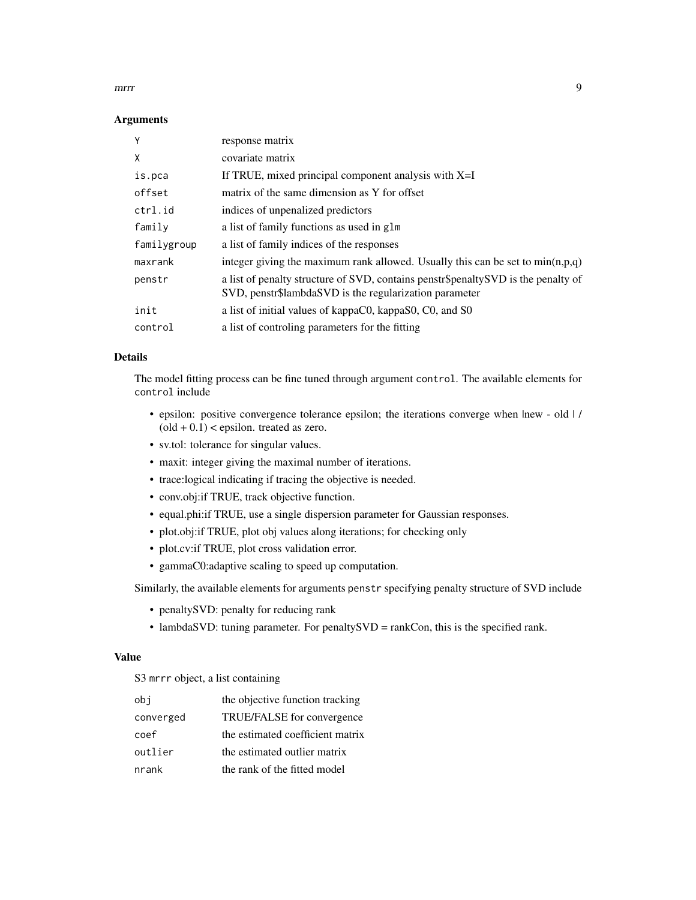#### mrrr 9

#### Arguments

| response matrix                                                                                                                             |
|---------------------------------------------------------------------------------------------------------------------------------------------|
| covariate matrix                                                                                                                            |
| If TRUE, mixed principal component analysis with $X=I$                                                                                      |
| matrix of the same dimension as Y for offset                                                                                                |
| indices of unpenalized predictors                                                                                                           |
| a list of family functions as used in glm                                                                                                   |
| a list of family indices of the responses                                                                                                   |
| integer giving the maximum rank allowed. Usually this can be set to $min(n,p,q)$                                                            |
| a list of penalty structure of SVD, contains penstr\$penaltySVD is the penalty of<br>SVD, penstr\$lambdaSVD is the regularization parameter |
| a list of initial values of kappaC0, kappaS0, C0, and S0                                                                                    |
| a list of controling parameters for the fitting                                                                                             |
|                                                                                                                                             |

#### Details

The model fitting process can be fine tuned through argument control. The available elements for control include

- epsilon: positive convergence tolerance epsilon; the iterations converge when |new old | /  $\text{(old} + 0.1)$  < epsilon. treated as zero.
- sv.tol: tolerance for singular values.
- maxit: integer giving the maximal number of iterations.
- trace:logical indicating if tracing the objective is needed.
- conv.obj:if TRUE, track objective function.
- equal.phi:if TRUE, use a single dispersion parameter for Gaussian responses.
- plot.obj:if TRUE, plot obj values along iterations; for checking only
- plot.cv:if TRUE, plot cross validation error.
- gammaC0:adaptive scaling to speed up computation.

Similarly, the available elements for arguments penstr specifying penalty structure of SVD include

- penaltySVD: penalty for reducing rank
- lambdaSVD: tuning parameter. For penaltySVD = rankCon, this is the specified rank.

#### Value

S3 mrrr object, a list containing

| obi       | the objective function tracking  |
|-----------|----------------------------------|
| converged | TRUE/FALSE for convergence       |
| coef      | the estimated coefficient matrix |
| outlier   | the estimated outlier matrix     |
| nrank     | the rank of the fitted model     |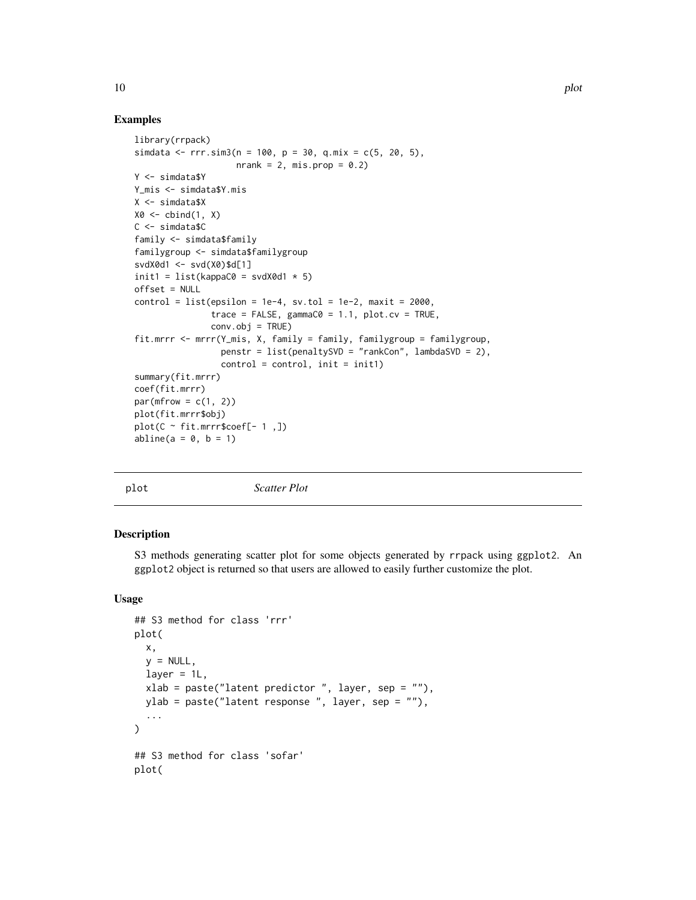#### Examples

```
library(rrpack)
simdata <- rrr.sim3(n = 100, p = 30, q.mix = c(5, 20, 5),
                    nrank = 2, mis.prop = 0.2)
Y <- simdata$Y
Y_mis <- simdata$Y.mis
X <- simdata$X
X0 \leftarrow \text{cbind}(1, X)C <- simdata$C
family <- simdata$family
familygroup <- simdata$familygroup
svdX0d1 <- svd(X0)$d[1]
init1 = list(kappa@ = svdX@d1 * 5)offset = NULL
control = list(epsilon = 1e-4, sv.tol = 1e-2, maxit = 2000,trace = FALSE, gamma@ = 1.1, plot.cv = TRUE,
               conv.obj = TRUE)
fit.mrrr <- mrrr(Y_mis, X, family = family, familygroup = familygroup,
                 penstr = list(penaltySVD = "rankCon", lambdaSVD = 2),control = control, init = init1)summary(fit.mrrr)
coef(fit.mrrr)
par(mfrow = c(1, 2))plot(fit.mrrr$obj)
plot(C ~ fit.mrrr$coef[- 1 ,])
abline(a = 0, b = 1)
```
plot *Scatter Plot*

#### Description

S3 methods generating scatter plot for some objects generated by rrpack using ggplot2. An ggplot2 object is returned so that users are allowed to easily further customize the plot.

```
## S3 method for class 'rrr'
plot(
  x,
  y = NULL,layer = 1L,
  xlab = paste("latent predictor ", layer, sep = ""),
 ylab = paste("latent response ", layer, sep = ""),
  ...
\lambda## S3 method for class 'sofar'
plot(
```
<span id="page-9-0"></span>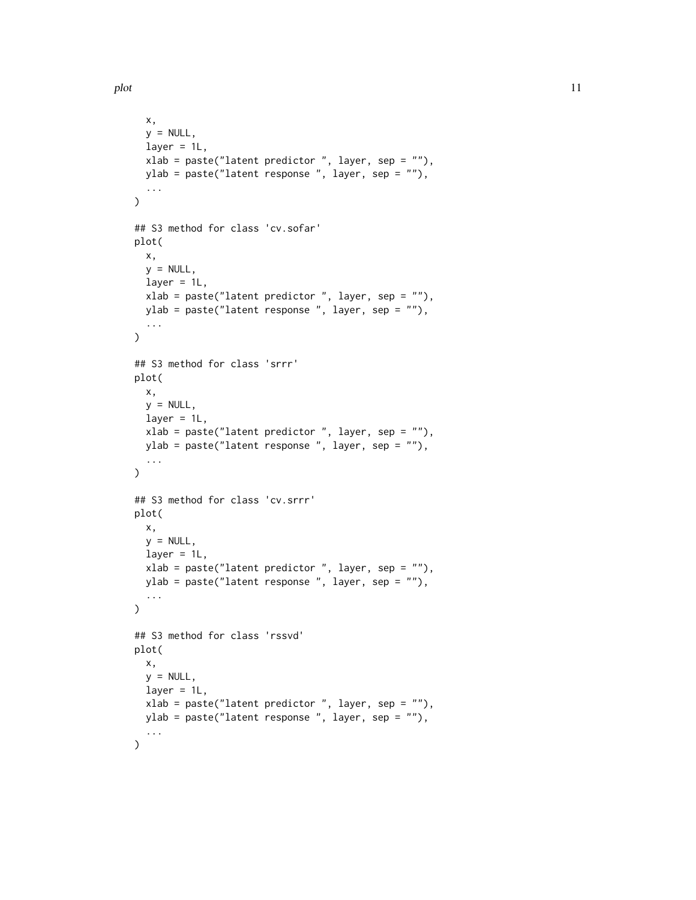```
x,
  y = NULL,laver = 1L,
 xlab = paste("latent predictor ", layer, sep = ""),
 ylab = paste("latent response ", layer, sep = ""),
  ...
)
## S3 method for class 'cv.sofar'
plot(
 x,
 y = NULL,layer = 1L,xlab = paste("latent predictor ", layer, sep = ""),
 ylab = paste("latent response ", layer, sep = ""),
  ...
\lambda## S3 method for class 'srrr'
plot(
 x,
 y = NULL,layer = 1L,xlab = paste("latent predictor ", layer, sep = ""),
 ylab = paste("latent response ", layer, sep = ""),
  ...
\mathcal{L}## S3 method for class 'cv.srrr'
plot(
 x,
 y = NULL,layer = 1L,xlab = paste("latent predictor ", layer, sep = ""),
 ylab = paste("latent response ", layer, sep = ""),
  ...
\mathcal{L}## S3 method for class 'rssvd'
plot(
 x,
 y = NULL,layer = 1L,
 xlab = paste("latent predictor ", layer, sep = ""),
 ylab = paste("latent response ", layer, sep = ""),
  ...
)
```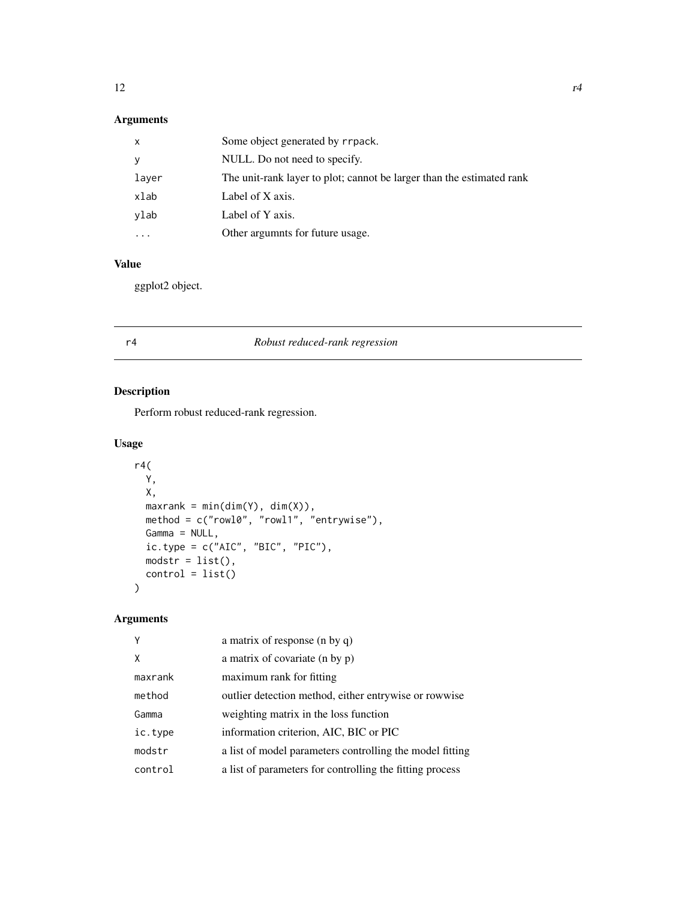#### <span id="page-11-0"></span>Arguments

| x         | Some object generated by rrpack.                                      |
|-----------|-----------------------------------------------------------------------|
| У         | NULL. Do not need to specify.                                         |
| layer     | The unit-rank layer to plot; cannot be larger than the estimated rank |
| xlab      | Label of X axis.                                                      |
| vlab      | Label of Y axis.                                                      |
| $\ddotsc$ | Other argumnts for future usage.                                      |

#### Value

ggplot2 object.

| r4 | Robust reduced-rank regression |
|----|--------------------------------|
|    |                                |

#### Description

Perform robust reduced-rank regression.

#### Usage

```
r4(
 Y,
 X,
 maxrank = min(dim(Y), dim(X)),method = c("rowl0", "rowl1", "entrywise"),
 Gamma = NULL,
 ic.type = c("AIC", "BIC", "PIC"),modstr = list(),control = list()
\mathcal{L}
```

| Υ       | a matrix of response $(n \text{ by } q)$                 |
|---------|----------------------------------------------------------|
| X       | a matrix of covariate (n by p)                           |
| maxrank | maximum rank for fitting                                 |
| method  | outlier detection method, either entrywise or rowwise    |
| Gamma   | weighting matrix in the loss function                    |
| ic.type | information criterion, AIC, BIC or PIC                   |
| modstr  | a list of model parameters controlling the model fitting |
| control | a list of parameters for controlling the fitting process |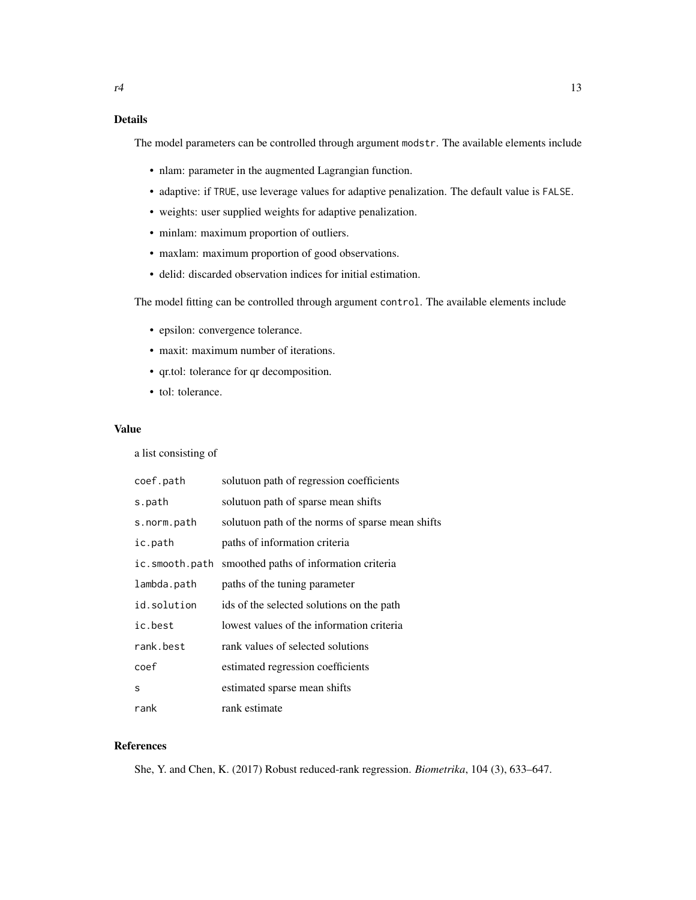The model parameters can be controlled through argument modstr. The available elements include

- nlam: parameter in the augmented Lagrangian function.
- adaptive: if TRUE, use leverage values for adaptive penalization. The default value is FALSE.
- weights: user supplied weights for adaptive penalization.
- minlam: maximum proportion of outliers.
- maxlam: maximum proportion of good observations.
- delid: discarded observation indices for initial estimation.

The model fitting can be controlled through argument control. The available elements include

- epsilon: convergence tolerance.
- maxit: maximum number of iterations.
- qr.tol: tolerance for qr decomposition.
- tol: tolerance.

#### Value

a list consisting of

| coef.path      | solutuon path of regression coefficients         |
|----------------|--------------------------------------------------|
| s.path         | solutuon path of sparse mean shifts              |
| s.norm.path    | solutuon path of the norms of sparse mean shifts |
| ic.path        | paths of information criteria                    |
| ic.smooth.path | smoothed paths of information criteria           |
| lambda.path    | paths of the tuning parameter                    |
| id.solution    | ids of the selected solutions on the path        |
| ic.best        | lowest values of the information criteria        |
| rank.best      | rank values of selected solutions                |
| coef           | estimated regression coefficients                |
| S              | estimated sparse mean shifts                     |
| rank           | rank estimate                                    |

#### References

She, Y. and Chen, K. (2017) Robust reduced-rank regression. *Biometrika*, 104 (3), 633–647.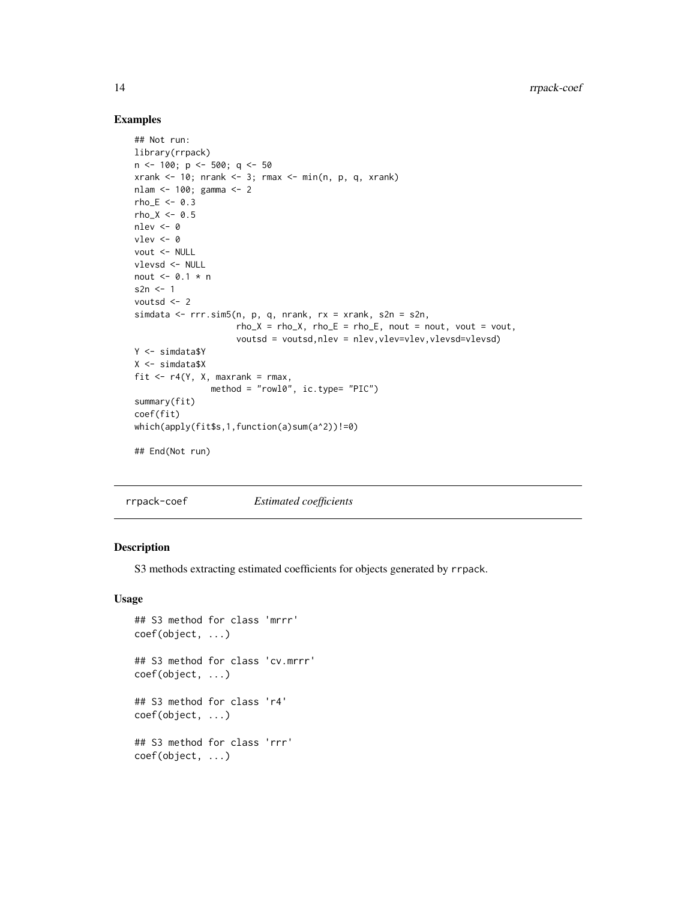#### Examples

```
## Not run:
library(rrpack)
n \le -100; p \le -500; q \le -50xrank < -10; nrank <-3; rmax <-min(n, p, q, xrank)nlam <- 100; gamma <- 2
rho_E < -0.3rho_X < -0.5nlev <- 0
vlev <- 0
vout <- NULL
vlevsd <- NULL
nout <- 0.1 * n
s2n \leq -1voutsd <- 2
simdata <- rrr.sim5(n, p, q, nrank, rx = xrank, s2n = s2n,
                    rho_X = rho_X, rho_E = rho_E, nout = nout, vout = vout,
                    voutsd = voutsd,nlev = nlev,vlev=vlev,vlevsd=vlevsd)
Y <- simdata$Y
X <- simdata$X
fit \leq r4(Y, X, maxrank = rmax,
               method = "rowl0", ic.type= "PIC")
summary(fit)
coef(fit)
which(apply(fit$s,1,function(a)sum(a^2))!=0)
## End(Not run)
```
rrpack-coef *Estimated coefficients*

#### Description

S3 methods extracting estimated coefficients for objects generated by rrpack.

```
## S3 method for class 'mrrr'
coef(object, ...)
## S3 method for class 'cv.mrrr'
coef(object, ...)
## S3 method for class 'r4'
coef(object, ...)
## S3 method for class 'rrr'
coef(object, ...)
```
<span id="page-13-0"></span>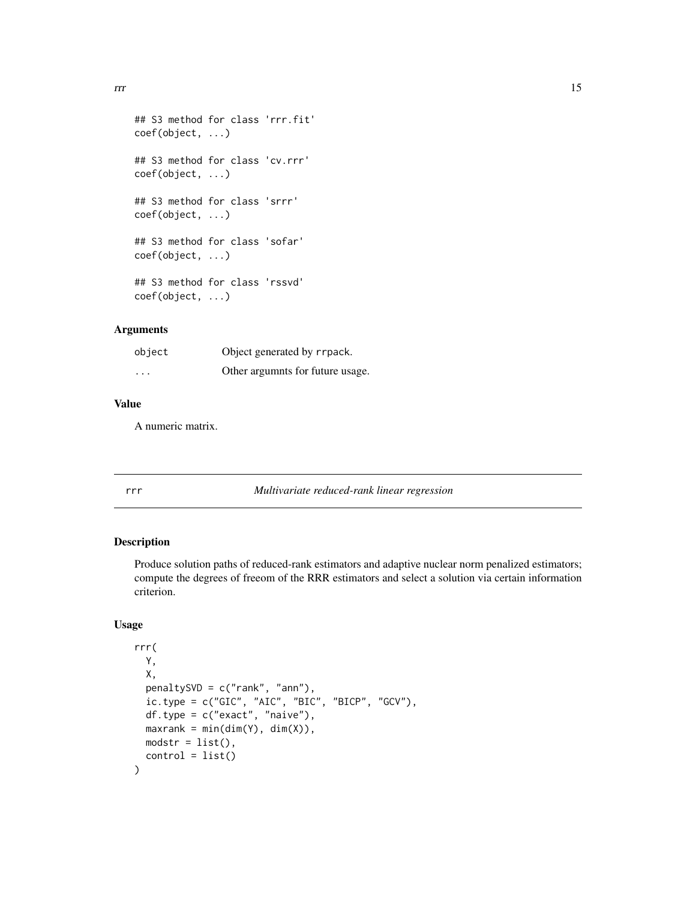<span id="page-14-0"></span> $\frac{15}{15}$ 

```
## S3 method for class 'rrr.fit'
coef(object, ...)
## S3 method for class 'cv.rrr'
coef(object, ...)
## S3 method for class 'srrr'
coef(object, ...)
## S3 method for class 'sofar'
coef(object, ...)
## S3 method for class 'rssvd'
coef(object, ...)
```
#### Arguments

| object  | Object generated by rrpack.      |
|---------|----------------------------------|
| $\cdot$ | Other argumnts for future usage. |

#### Value

A numeric matrix.

rrr *Multivariate reduced-rank linear regression*

#### Description

Produce solution paths of reduced-rank estimators and adaptive nuclear norm penalized estimators; compute the degrees of freeom of the RRR estimators and select a solution via certain information criterion.

```
rrr(
 Y,
 X,
 penaltySVD = c("rank", "ann"),
 ic.\text{type} = c("GIC", "AIC", "BIC", "BICP", "GCV"),df.type = c("exact", "naive"),
 maxrank = min(dim(Y), dim(X)),modstr = list(),control = list())
```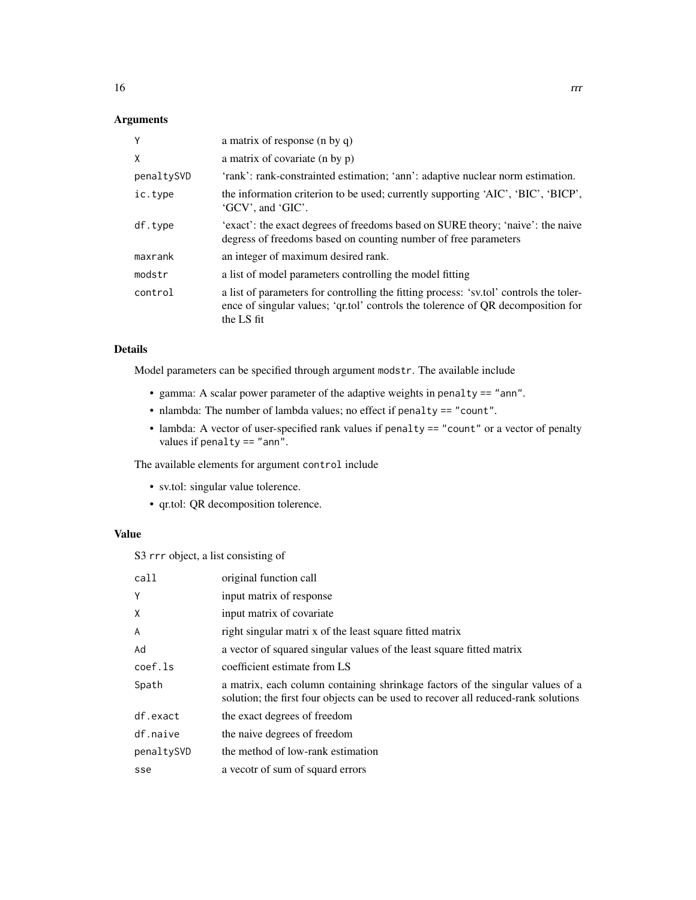#### Arguments

| Y          | a matrix of response (n by q)                                                                                                                                                            |
|------------|------------------------------------------------------------------------------------------------------------------------------------------------------------------------------------------|
| X          | a matrix of covariate (n by p)                                                                                                                                                           |
| penaltySVD | 'rank': rank-constrainted estimation; 'ann': adaptive nuclear norm estimation.                                                                                                           |
| ic.type    | the information criterion to be used; currently supporting 'AIC', 'BIC', 'BICP',<br>'GCV', and 'GIC'.                                                                                    |
| df.type    | 'exact': the exact degrees of freedoms based on SURE theory; 'naive': the naive<br>degress of freedoms based on counting number of free parameters                                       |
| maxrank    | an integer of maximum desired rank.                                                                                                                                                      |
| modstr     | a list of model parameters controlling the model fitting                                                                                                                                 |
| control    | a list of parameters for controlling the fitting process: 'sv.tol' controls the toler-<br>ence of singular values; 'qr.tol' controls the tolerence of QR decomposition for<br>the LS fit |

#### Details

Model parameters can be specified through argument modstr. The available include

- gamma: A scalar power parameter of the adaptive weights in penalty == "ann".
- nlambda: The number of lambda values; no effect if penalty == "count".
- lambda: A vector of user-specified rank values if penalty == "count" or a vector of penalty values if penalty == "ann".

The available elements for argument control include

- sv.tol: singular value tolerence.
- qr.tol: QR decomposition tolerence.

#### Value

S3 rrr object, a list consisting of

| call       | original function call                                                                                                                                               |
|------------|----------------------------------------------------------------------------------------------------------------------------------------------------------------------|
| Y          | input matrix of response                                                                                                                                             |
| X          | input matrix of covariate.                                                                                                                                           |
| A          | right singular matrix of the least square fitted matrix                                                                                                              |
| Ad         | a vector of squared singular values of the least square fitted matrix                                                                                                |
| coef.ls    | coefficient estimate from LS                                                                                                                                         |
| Spath      | a matrix, each column containing shrinkage factors of the singular values of a<br>solution; the first four objects can be used to recover all reduced-rank solutions |
| df.exact   | the exact degrees of freedom                                                                                                                                         |
| df.naive   | the naive degrees of freedom                                                                                                                                         |
| penaltySVD | the method of low-rank estimation                                                                                                                                    |
| sse        | a vecotr of sum of squard errors                                                                                                                                     |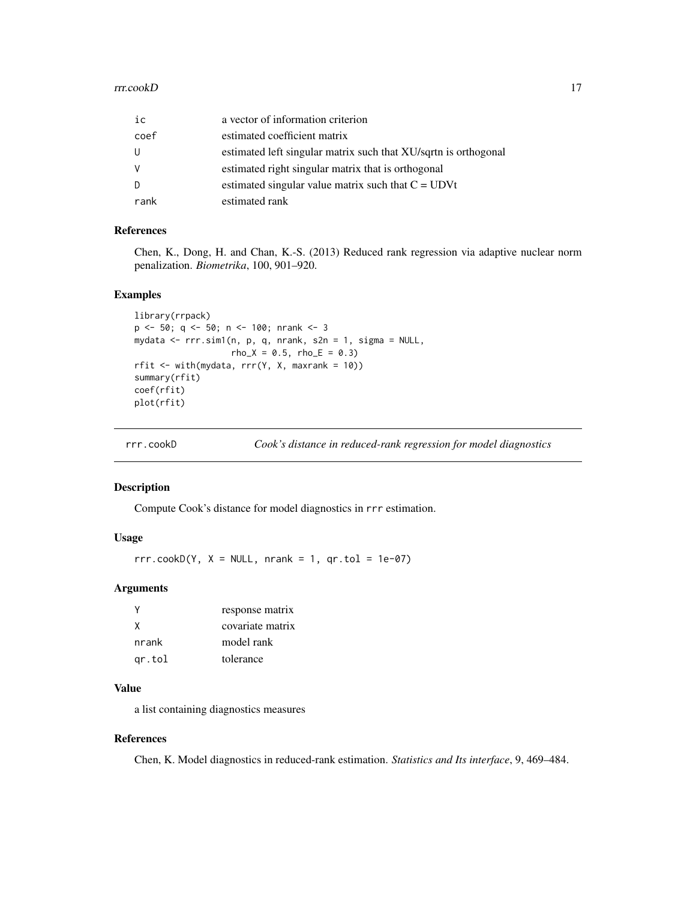#### <span id="page-16-0"></span>rrr.cookD 17

| ic       | a vector of information criterion                               |
|----------|-----------------------------------------------------------------|
| coef     | estimated coefficient matrix                                    |
| U        | estimated left singular matrix such that XU/sqrtn is orthogonal |
| <b>V</b> | estimated right singular matrix that is orthogonal              |
| D        | estimated singular value matrix such that $C = UDVt$            |
| rank     | estimated rank                                                  |

#### References

Chen, K., Dong, H. and Chan, K.-S. (2013) Reduced rank regression via adaptive nuclear norm penalization. *Biometrika*, 100, 901–920.

#### Examples

```
library(rrpack)
p <- 50; q <- 50; n <- 100; nrank <- 3
mydata <- rrr.sim1(n, p, q, nrank, s2n = 1, sigma = NULL,
                  rho_X = 0.5, rho_E = 0.3rfit \le with(mydata, rrr(Y, X, maxrank = 10))
summary(rfit)
coef(rfit)
plot(rfit)
```
rrr.cookD *Cook's distance in reduced-rank regression for model diagnostics*

#### Description

Compute Cook's distance for model diagnostics in rrr estimation.

#### Usage

 $rrr.cookD(Y, X = NULL, nrank = 1, qr.tol = 1e-07)$ 

#### Arguments

|        | response matrix  |
|--------|------------------|
| X      | covariate matrix |
| nrank  | model rank       |
| gr.tol | tolerance        |

#### Value

a list containing diagnostics measures

#### References

Chen, K. Model diagnostics in reduced-rank estimation. *Statistics and Its interface*, 9, 469–484.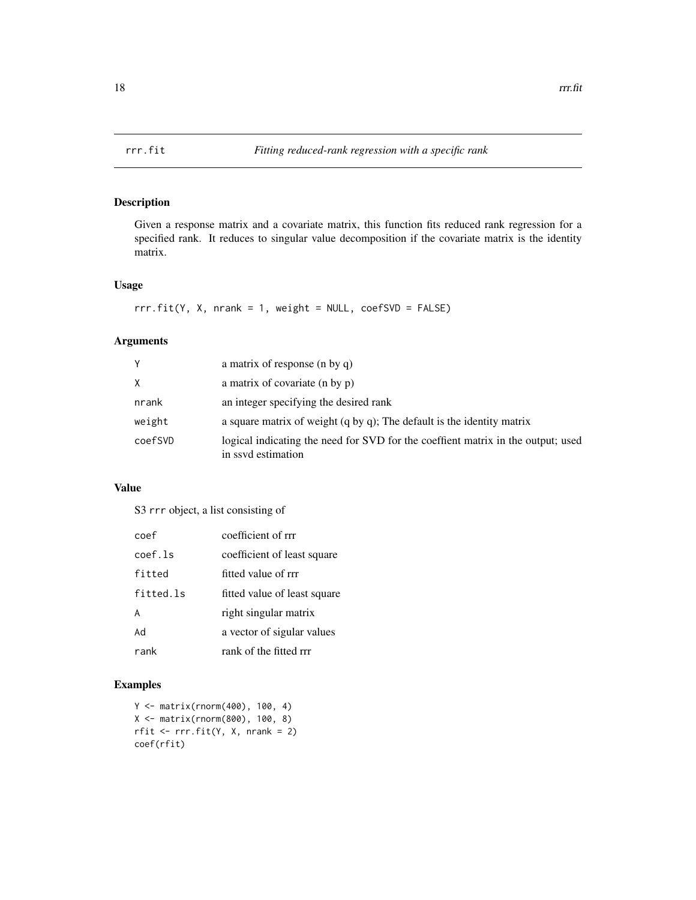<span id="page-17-0"></span>

Given a response matrix and a covariate matrix, this function fits reduced rank regression for a specified rank. It reduces to singular value decomposition if the covariate matrix is the identity matrix.

#### Usage

 $rrr.fit(Y, X, nrank = 1, weight = NULL, coeffSVD = FALSE)$ 

#### Arguments

| Y       | a matrix of response (n by q)                                                                          |
|---------|--------------------------------------------------------------------------------------------------------|
| X       | a matrix of covariate (n by p)                                                                         |
| nrank   | an integer specifying the desired rank                                                                 |
| weight  | a square matrix of weight $(q by q)$ ; The default is the identity matrix                              |
| coefSVD | logical indicating the need for SVD for the coeffient matrix in the output; used<br>in ssyd estimation |

#### Value

S3 rrr object, a list consisting of

| coef      | coefficient of rrr           |
|-----------|------------------------------|
| coef.ls   | coefficient of least square  |
| fitted    | fitted value of rrr          |
| fitted.ls | fitted value of least square |
| A         | right singular matrix        |
| Ad        | a vector of sigular values   |
| rank      | rank of the fitted rrr       |

#### Examples

```
Y <- matrix(rnorm(400), 100, 4)
X <- matrix(rnorm(800), 100, 8)
rfit \leq rrr.fit(Y, X, nrank = 2)
coef(rfit)
```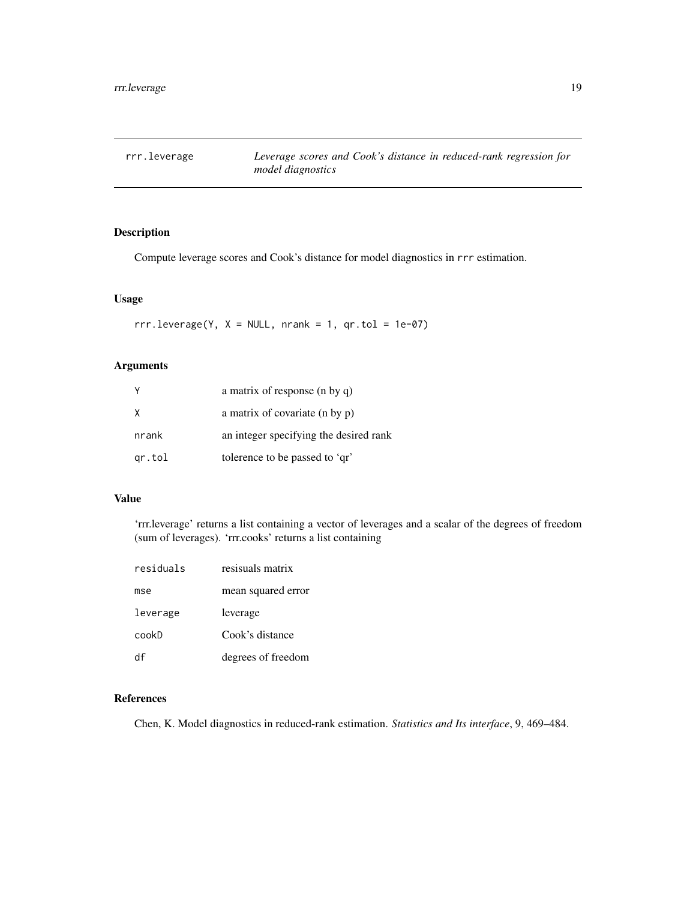<span id="page-18-0"></span>

Compute leverage scores and Cook's distance for model diagnostics in rrr estimation.

#### Usage

 $rrr.leverage(Y, X = NULL, nrank = 1, qr.tol = 1e-07)$ 

#### Arguments

| Y      | a matrix of response (n by q)          |
|--------|----------------------------------------|
| X      | a matrix of covariate (n by p)         |
| nrank  | an integer specifying the desired rank |
| gr.tol | tolerence to be passed to 'qr'         |

#### Value

'rrr.leverage' returns a list containing a vector of leverages and a scalar of the degrees of freedom (sum of leverages). 'rrr.cooks' returns a list containing

| residuals | resisuals matrix   |
|-----------|--------------------|
| mse       | mean squared error |
| leverage  | leverage           |
| cookD     | Cook's distance    |
| df        | degrees of freedom |

#### References

Chen, K. Model diagnostics in reduced-rank estimation. *Statistics and Its interface*, 9, 469–484.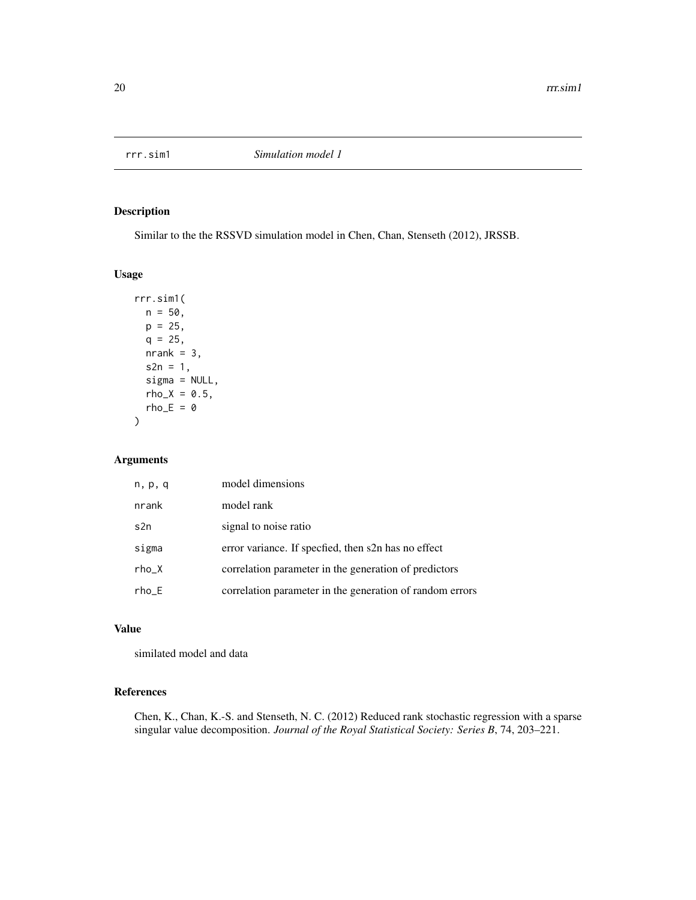<span id="page-19-0"></span>

Similar to the the RSSVD simulation model in Chen, Chan, Stenseth (2012), JRSSB.

#### Usage

```
rrr.sim1(
 n = 50,
 p = 25,
 q = 25,
 nrank = 3,
  s2n = 1,
  signa = NULL,rho_X = 0.5,
  rho_E = 0)
```
#### Arguments

| n, p, q | model dimensions                                         |
|---------|----------------------------------------------------------|
| nrank   | model rank                                               |
| s2n     | signal to noise ratio                                    |
| sigma   | error variance. If specfied, then s2n has no effect      |
| $rho_X$ | correlation parameter in the generation of predictors    |
| $rho_E$ | correlation parameter in the generation of random errors |

#### Value

similated model and data

#### References

Chen, K., Chan, K.-S. and Stenseth, N. C. (2012) Reduced rank stochastic regression with a sparse singular value decomposition. *Journal of the Royal Statistical Society: Series B*, 74, 203–221.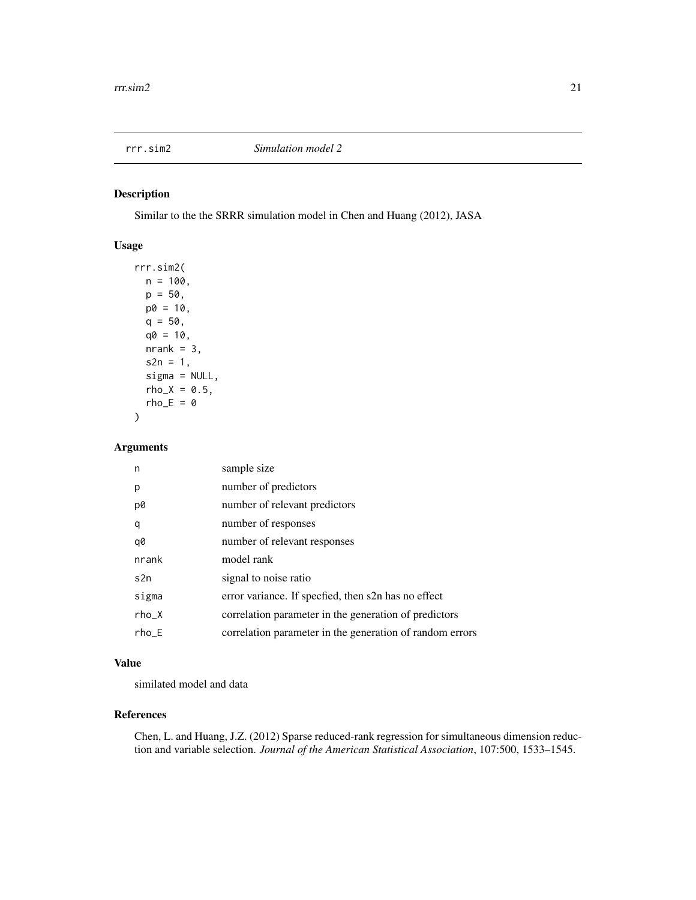<span id="page-20-0"></span>

Similar to the the SRRR simulation model in Chen and Huang (2012), JASA

#### Usage

```
rrr.sim2(
 n = 100,p = 50,
 p0 = 10,
 q = 50,
  q0 = 10,
 nrank = 3,
  s2n = 1,
  sigma = NULL,
  rho_X = 0.5,
 rho_E = 0)
```
#### Arguments

| n       | sample size                                              |
|---------|----------------------------------------------------------|
| p       | number of predictors                                     |
| p0      | number of relevant predictors                            |
| q       | number of responses                                      |
| q0      | number of relevant responses                             |
| nrank   | model rank                                               |
| s2n     | signal to noise ratio                                    |
| sigma   | error variance. If specfied, then s2n has no effect      |
| $rho_X$ | correlation parameter in the generation of predictors    |
| $rho_E$ | correlation parameter in the generation of random errors |

#### Value

similated model and data

#### References

Chen, L. and Huang, J.Z. (2012) Sparse reduced-rank regression for simultaneous dimension reduction and variable selection. *Journal of the American Statistical Association*, 107:500, 1533–1545.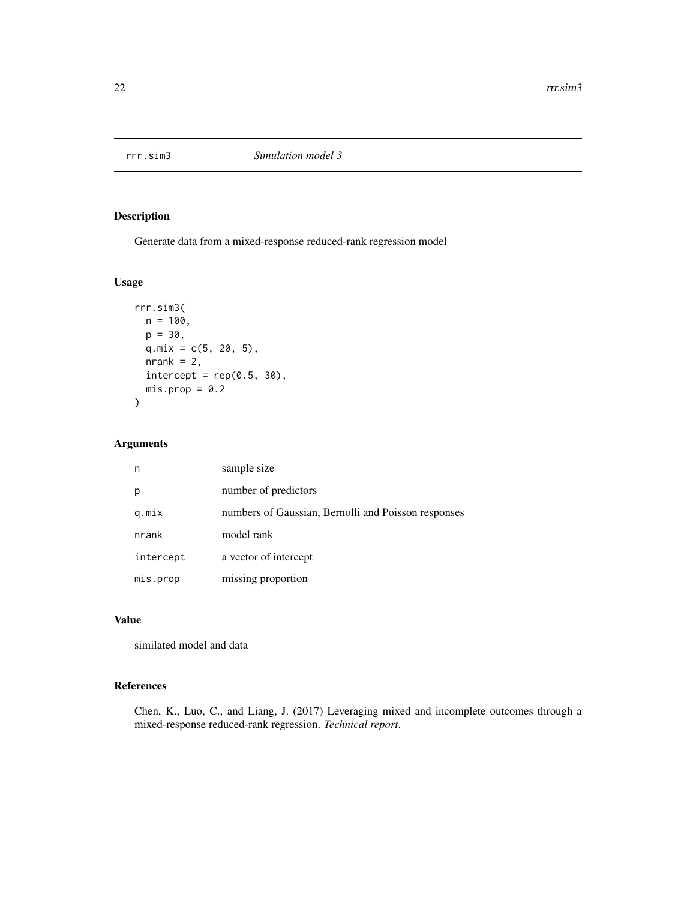<span id="page-21-0"></span>

Generate data from a mixed-response reduced-rank regression model

#### Usage

```
rrr.sim3(
 n = 100,
 p = 30,
 q.mix = c(5, 20, 5),
 nrank = 2,
 intercept = rep(0.5, 30),mis.pop = 0.2\mathcal{L}
```
#### Arguments

| n         | sample size                                         |
|-----------|-----------------------------------------------------|
| p         | number of predictors                                |
| q.mix     | numbers of Gaussian, Bernolli and Poisson responses |
| nrank     | model rank                                          |
| intercept | a vector of intercept                               |
| mis.prop  | missing proportion                                  |

#### Value

similated model and data

#### References

Chen, K., Luo, C., and Liang, J. (2017) Leveraging mixed and incomplete outcomes through a mixed-response reduced-rank regression. *Technical report*.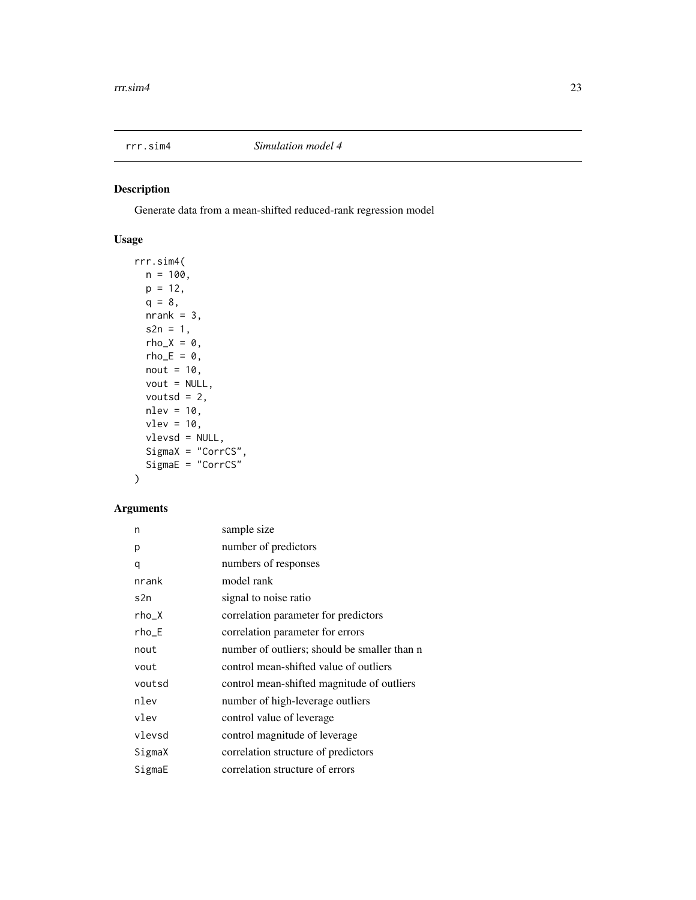<span id="page-22-0"></span>

Generate data from a mean-shifted reduced-rank regression model

#### Usage

```
rrr.sim4(
 n = 100,p = 12,
 q = 8,nrank = 3,
  s2n = 1,
 rho_X = 0,
 rho_E = 0,
 nout = 10,
 vout = NULL,
 voutsd = 2,
 nlev = 10,
 vlev = 10,
  vlevsd = NULL,
  SigmaX = "CorrCS",
 SigmaE = "CorrCS"
\mathcal{L}
```

| n       | sample size                                  |
|---------|----------------------------------------------|
| р       | number of predictors                         |
| q       | numbers of responses                         |
| nrank   | model rank                                   |
| s2n     | signal to noise ratio                        |
| rho_X   | correlation parameter for predictors         |
| $rho_E$ | correlation parameter for errors             |
| nout    | number of outliers; should be smaller than n |
| vout    | control mean-shifted value of outliers       |
| voutsd  | control mean-shifted magnitude of outliers   |
| nlev    | number of high-leverage outliers             |
| vlev    | control value of leverage                    |
| vlevsd  | control magnitude of leverage                |
| SigmaX  | correlation structure of predictors          |
| SigmaE  | correlation structure of errors              |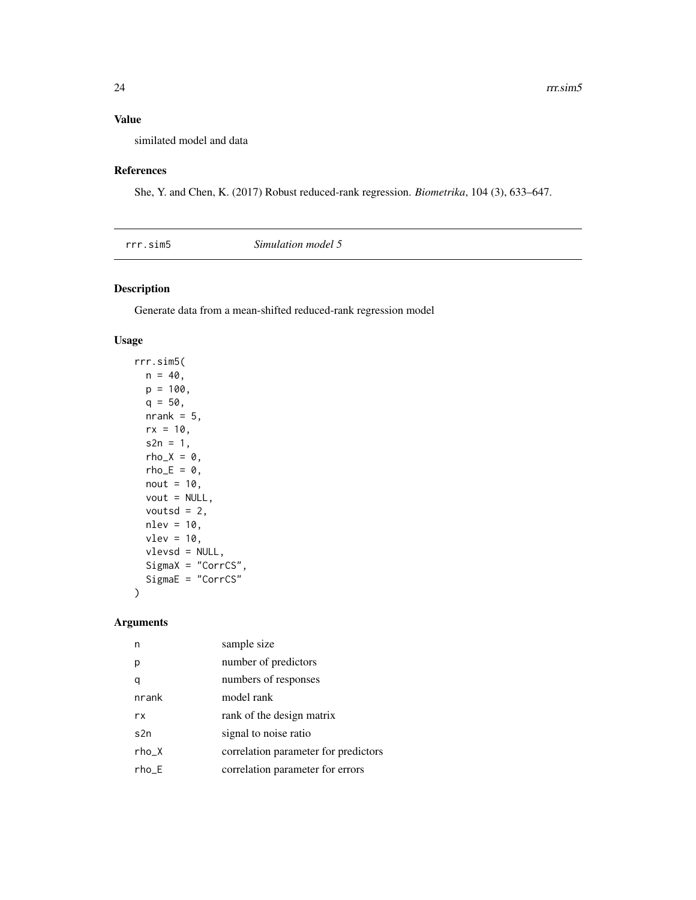#### <span id="page-23-0"></span>Value

similated model and data

#### References

She, Y. and Chen, K. (2017) Robust reduced-rank regression. *Biometrika*, 104 (3), 633–647.

#### Description

Generate data from a mean-shifted reduced-rank regression model

#### Usage

```
rrr.sim5(
 n = 40,
 p = 100,
 q = 50,
 nrank = 5,
 rx = 10,
 s2n = 1,
 rho_X = 0,
 rho_E = 0,
 nout = 10,
 vout = NULL,voutsd = 2,
 nlev = 10,
 vlev = 10,
 vlevsd = NULL,
  SigmaX = "CorrCS",
  SigmaE = "CorrCS"
)
```

| n       | sample size                          |
|---------|--------------------------------------|
| р       | number of predictors                 |
|         | numbers of responses                 |
| nrank   | model rank                           |
| rx      | rank of the design matrix            |
| s2n     | signal to noise ratio                |
| $rho_X$ | correlation parameter for predictors |
| rho E   | correlation parameter for errors     |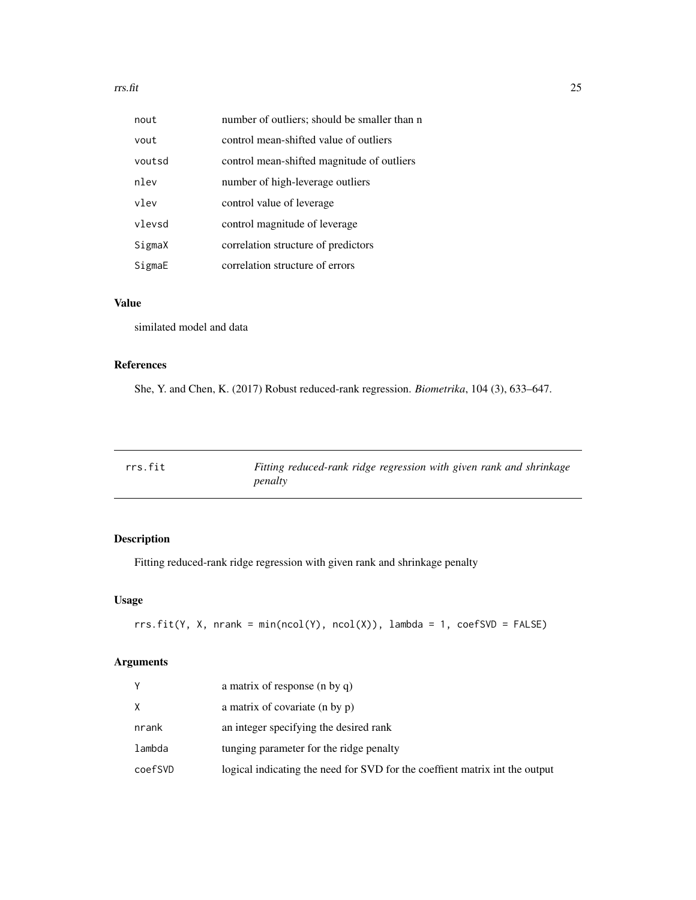#### <span id="page-24-0"></span>rrs.fit 25

| nout   | number of outliers; should be smaller than n |
|--------|----------------------------------------------|
| vout   | control mean-shifted value of outliers       |
| voutsd | control mean-shifted magnitude of outliers   |
| nlev   | number of high-leverage outliers             |
| vlev   | control value of leverage                    |
| vlevsd | control magnitude of leverage                |
| SigmaX | correlation structure of predictors          |
| SigmaE | correlation structure of errors              |

#### Value

similated model and data

#### References

She, Y. and Chen, K. (2017) Robust reduced-rank regression. *Biometrika*, 104 (3), 633–647.

| rrs.fit | Fitting reduced-rank ridge regression with given rank and shrinkage |
|---------|---------------------------------------------------------------------|
|         | penalty                                                             |

#### Description

Fitting reduced-rank ridge regression with given rank and shrinkage penalty

#### Usage

```
rrs.fit(Y, X, nrank = min(ncol(Y), ncol(X)), lambda = 1, coeffSVD = FALSE)
```

| Y       | a matrix of response (n by q)                                               |
|---------|-----------------------------------------------------------------------------|
| X       | a matrix of covariate (n by p)                                              |
| nrank   | an integer specifying the desired rank                                      |
| lambda  | tunging parameter for the ridge penalty                                     |
| coefSVD | logical indicating the need for SVD for the coeffient matrix int the output |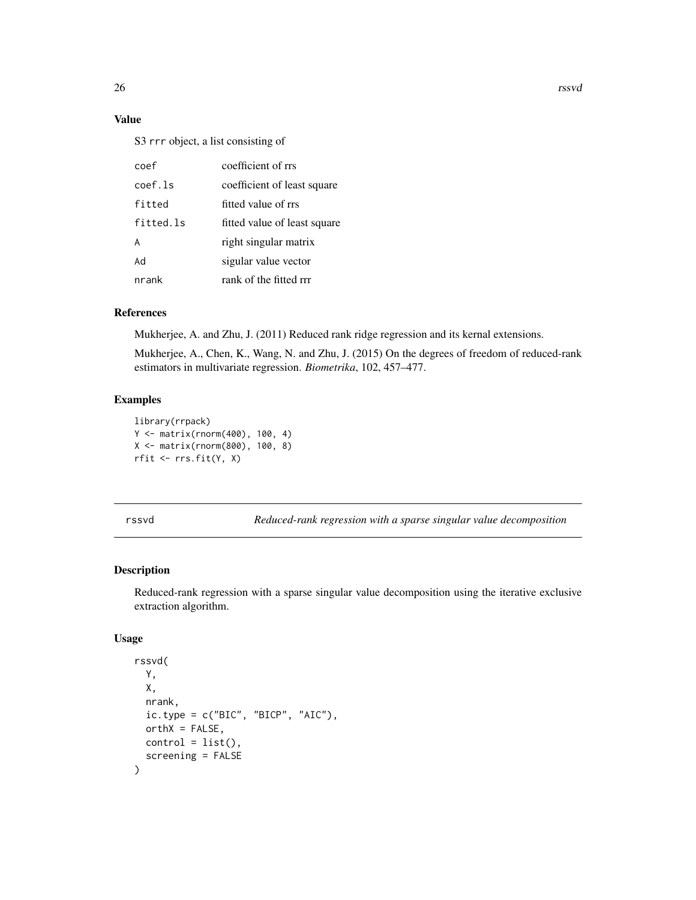26 rssvd

#### Value

S3 rrr object, a list consisting of

| coef      | coefficient of rrs           |
|-----------|------------------------------|
| coef.ls   | coefficient of least square  |
| fitted    | fitted value of rrs          |
| fitted.ls | fitted value of least square |
| A         | right singular matrix        |
| hA        | sigular value vector         |
| nrank     | rank of the fitted rrr       |

#### References

Mukherjee, A. and Zhu, J. (2011) Reduced rank ridge regression and its kernal extensions.

Mukherjee, A., Chen, K., Wang, N. and Zhu, J. (2015) On the degrees of freedom of reduced-rank estimators in multivariate regression. *Biometrika*, 102, 457–477.

#### Examples

```
library(rrpack)
Y <- matrix(rnorm(400), 100, 4)
X <- matrix(rnorm(800), 100, 8)
rfit <- rrs.fit(Y, X)
```
rssvd *Reduced-rank regression with a sparse singular value decomposition*

#### Description

Reduced-rank regression with a sparse singular value decomposition using the iterative exclusive extraction algorithm.

```
rssvd(
 Y,
 X,
 nrank,
 ic.\t{type} = c("BIC", "BICP", "AIC"),orthX = FALSE,control = list(),screening = FALSE
)
```
<span id="page-25-0"></span>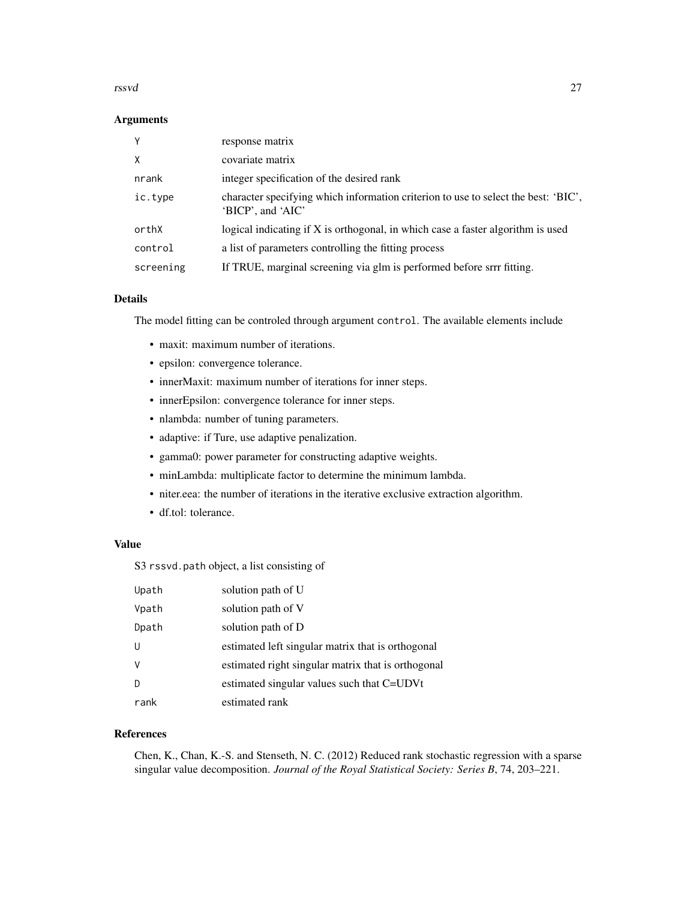#### rssvd 27

#### Arguments

| Y         | response matrix                                                                                         |
|-----------|---------------------------------------------------------------------------------------------------------|
| X         | covariate matrix                                                                                        |
| nrank     | integer specification of the desired rank                                                               |
| ic.type   | character specifying which information criterion to use to select the best: 'BIC',<br>'BICP', and 'AIC' |
| orthX     | logical indicating if X is orthogonal, in which case a faster algorithm is used                         |
| control   | a list of parameters controlling the fitting process                                                    |
| screening | If TRUE, marginal screening via glm is performed before srrr fitting.                                   |

#### Details

The model fitting can be controled through argument control. The available elements include

- maxit: maximum number of iterations.
- epsilon: convergence tolerance.
- innerMaxit: maximum number of iterations for inner steps.
- innerEpsilon: convergence tolerance for inner steps.
- nlambda: number of tuning parameters.
- adaptive: if Ture, use adaptive penalization.
- gamma0: power parameter for constructing adaptive weights.
- minLambda: multiplicate factor to determine the minimum lambda.
- niter.eea: the number of iterations in the iterative exclusive extraction algorithm.
- df.tol: tolerance.

#### Value

S3 rssvd.path object, a list consisting of

| Upath        | solution path of U                                 |
|--------------|----------------------------------------------------|
| Vpath        | solution path of V                                 |
| Dpath        | solution path of D                                 |
| U            | estimated left singular matrix that is orthogonal  |
| <sub>V</sub> | estimated right singular matrix that is orthogonal |
| D            | estimated singular values such that C=UDVt         |
| rank         | estimated rank                                     |

#### References

Chen, K., Chan, K.-S. and Stenseth, N. C. (2012) Reduced rank stochastic regression with a sparse singular value decomposition. *Journal of the Royal Statistical Society: Series B*, 74, 203–221.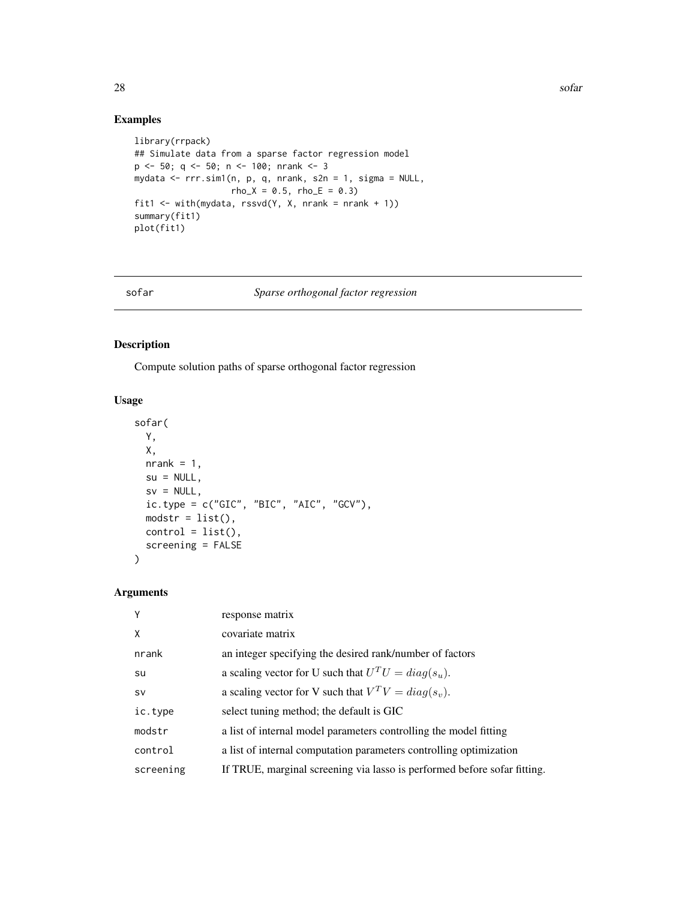#### Examples

```
library(rrpack)
## Simulate data from a sparse factor regression model
p <- 50; q <- 50; n <- 100; nrank <- 3
mydata <- rrr.sim1(n, p, q, nrank, s2n = 1, sigma = NULL,
                  rho_X = 0.5, rho_E = 0.3fit1 <- with(mydata, rssvd(Y, X, nrank = nrank + 1))
summary(fit1)
plot(fit1)
```
#### sofar *Sparse orthogonal factor regression*

#### Description

Compute solution paths of sparse orthogonal factor regression

#### Usage

```
sofar(
 Y,
 X,
 nrank = 1,
 su = NULL,sv = NULL,ic.type = c("GIC", "BIC", "AIC", "GCV"),
 modstr = list(),control = list(),screening = FALSE
)
```

| Y         | response matrix                                                          |
|-----------|--------------------------------------------------------------------------|
| X         | covariate matrix                                                         |
| nrank     | an integer specifying the desired rank/number of factors                 |
| su        | a scaling vector for U such that $U^T U = diag(s_u)$ .                   |
| <b>SV</b> | a scaling vector for V such that $V^T V = diag(s_v)$ .                   |
| ic.type   | select tuning method; the default is GIC                                 |
| modstr    | a list of internal model parameters controlling the model fitting        |
| control   | a list of internal computation parameters controlling optimization       |
| screening | If TRUE, marginal screening via lasso is performed before sofar fitting. |

<span id="page-27-0"></span>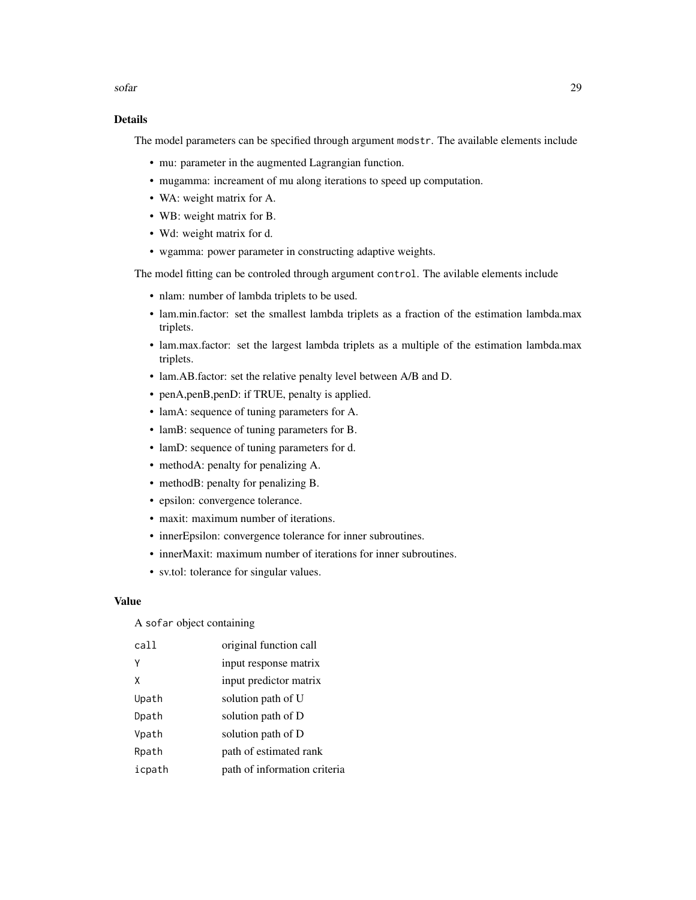sofar 29

#### Details

The model parameters can be specified through argument modstr. The available elements include

- mu: parameter in the augmented Lagrangian function.
- mugamma: increament of mu along iterations to speed up computation.
- WA: weight matrix for A.
- WB: weight matrix for B.
- Wd: weight matrix for d.
- wgamma: power parameter in constructing adaptive weights.

The model fitting can be controled through argument control. The avilable elements include

- nlam: number of lambda triplets to be used.
- lam.min.factor: set the smallest lambda triplets as a fraction of the estimation lambda.max triplets.
- lam.max.factor: set the largest lambda triplets as a multiple of the estimation lambda.max triplets.
- lam.AB.factor: set the relative penalty level between A/B and D.
- penA,penB,penD: if TRUE, penalty is applied.
- lamA: sequence of tuning parameters for A.
- lamB: sequence of tuning parameters for B.
- lamD: sequence of tuning parameters for d.
- methodA: penalty for penalizing A.
- methodB: penalty for penalizing B.
- epsilon: convergence tolerance.
- maxit: maximum number of iterations.
- innerEpsilon: convergence tolerance for inner subroutines.
- innerMaxit: maximum number of iterations for inner subroutines.
- sv.tol: tolerance for singular values.

#### Value

A sofar object containing

| call   | original function call       |
|--------|------------------------------|
| γ      | input response matrix        |
| x      | input predictor matrix       |
| Upath  | solution path of U           |
| Dpath  | solution path of D           |
| Vpath  | solution path of D           |
| Rpath  | path of estimated rank       |
| icpath | path of information criteria |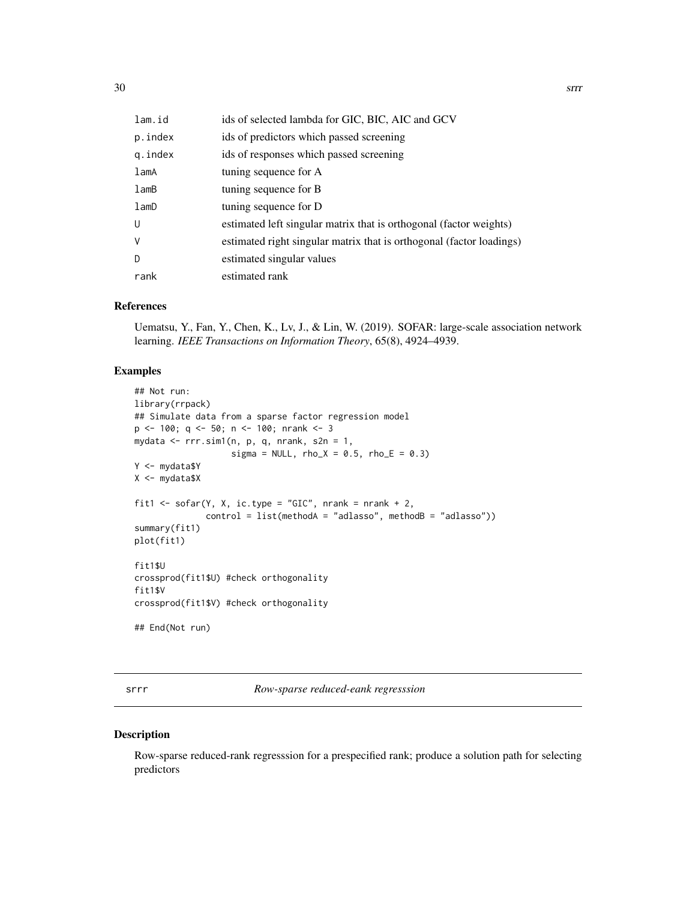<span id="page-29-0"></span>

| lam.id     | ids of selected lambda for GIC, BIC, AIC and GCV                     |
|------------|----------------------------------------------------------------------|
| p.index    | ids of predictors which passed screening                             |
| g.index    | ids of responses which passed screening                              |
| lamA       | tuning sequence for A                                                |
| lamb       | tuning sequence for B                                                |
| $l$ am $D$ | tuning sequence for D                                                |
| U          | estimated left singular matrix that is orthogonal (factor weights)   |
| V          | estimated right singular matrix that is orthogonal (factor loadings) |
| D          | estimated singular values                                            |
| rank       | estimated rank                                                       |

#### References

Uematsu, Y., Fan, Y., Chen, K., Lv, J., & Lin, W. (2019). SOFAR: large-scale association network learning. *IEEE Transactions on Information Theory*, 65(8), 4924–4939.

#### Examples

```
## Not run:
library(rrpack)
## Simulate data from a sparse factor regression model
p \le -100; q \le -50; n \le -100; nrank \le -3mydata \leq rrr.sim1(n, p, q, nrank, s2n = 1,
                   sigma = NULL, rho_X = 0.5, rho_E = 0.3)
Y <- mydata$Y
X <- mydata$X
fit1 <- sofar(Y, X, ic.type = "GIC", nrank = nrank + 2,
              control = list(methodA = "adlasso", methodB = "adlasso"))
summary(fit1)
plot(fit1)
fit1$U
crossprod(fit1$U) #check orthogonality
fit1$V
crossprod(fit1$V) #check orthogonality
## End(Not run)
```
srrr *Row-sparse reduced-eank regresssion*

#### Description

Row-sparse reduced-rank regresssion for a prespecified rank; produce a solution path for selecting predictors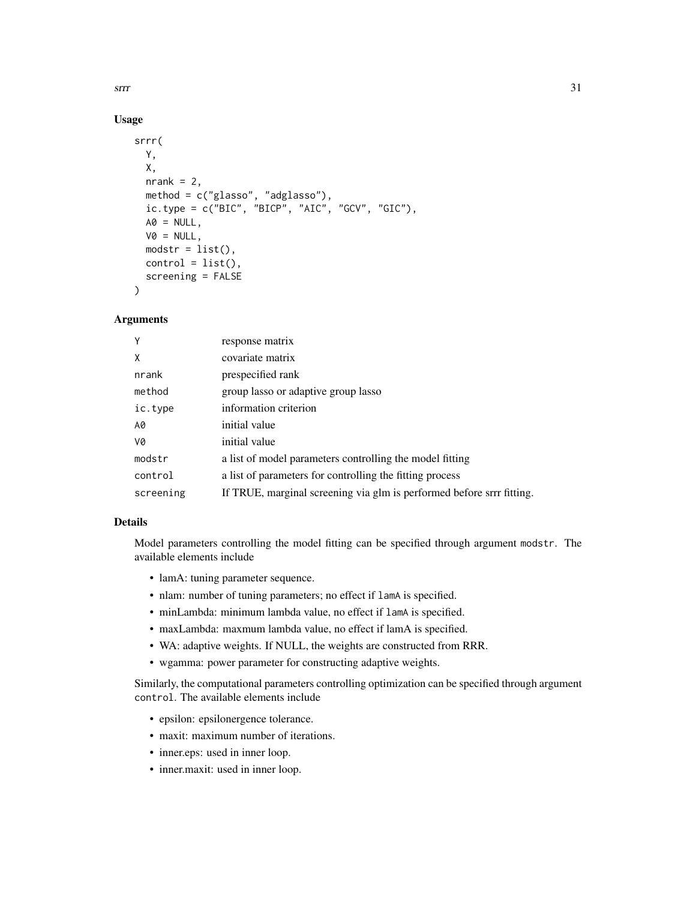$\frac{1}{31}$ 

#### Usage

```
srrr(
 Y,
 X,
 nrank = 2,
 method = c("glasso", "adglasso"),
 ic.type = c("BIC", "BICP", "AIC", "GCV", "GIC"),AO = NULL,VØ = NULL,modstr = list(),control = list(),screening = FALSE
)
```
#### Arguments

| Y         | response matrix                                                       |
|-----------|-----------------------------------------------------------------------|
| X         | covariate matrix                                                      |
| nrank     | prespecified rank                                                     |
| method    | group lasso or adaptive group lasso                                   |
| ic.type   | information criterion                                                 |
| A0        | initial value                                                         |
| V0        | initial value                                                         |
| modstr    | a list of model parameters controlling the model fitting              |
| control   | a list of parameters for controlling the fitting process              |
| screening | If TRUE, marginal screening via glm is performed before srrr fitting. |

#### Details

Model parameters controlling the model fitting can be specified through argument modstr. The available elements include

- lamA: tuning parameter sequence.
- nlam: number of tuning parameters; no effect if lamA is specified.
- minLambda: minimum lambda value, no effect if lamA is specified.
- maxLambda: maxmum lambda value, no effect if lamA is specified.
- WA: adaptive weights. If NULL, the weights are constructed from RRR.
- wgamma: power parameter for constructing adaptive weights.

Similarly, the computational parameters controlling optimization can be specified through argument control. The available elements include

- epsilon: epsilonergence tolerance.
- maxit: maximum number of iterations.
- inner.eps: used in inner loop.
- inner.maxit: used in inner loop.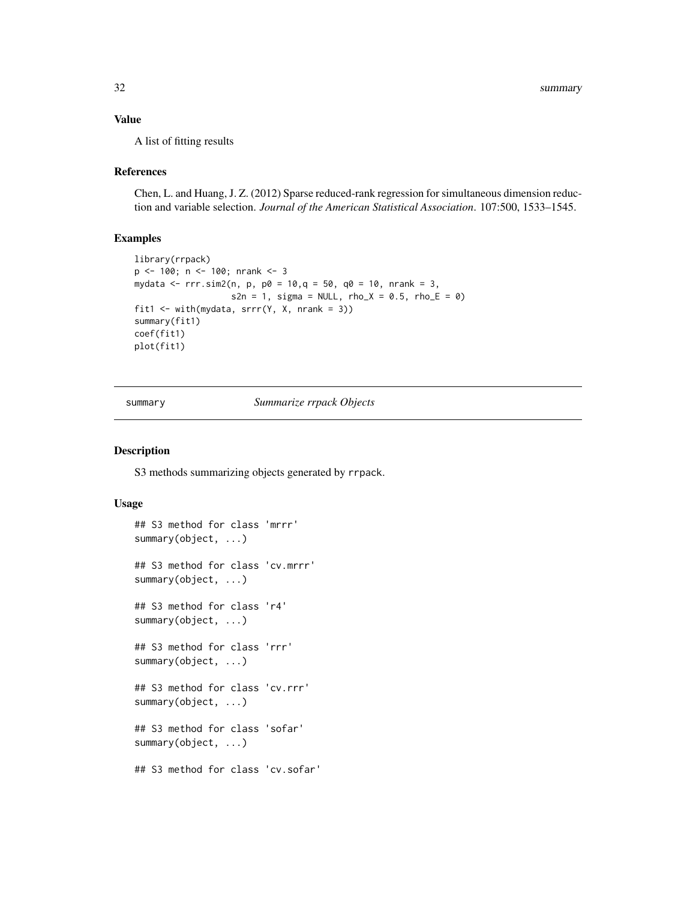#### <span id="page-31-0"></span>Value

A list of fitting results

#### References

Chen, L. and Huang, J. Z. (2012) Sparse reduced-rank regression for simultaneous dimension reduction and variable selection. *Journal of the American Statistical Association*. 107:500, 1533–1545.

#### Examples

```
library(rrpack)
p <- 100; n <- 100; nrank <- 3
mydata <- rrr.sim2(n, p, p0 = 10, q = 50, q0 = 10, nrank = 3,
                   s2n = 1, sigma = NULL, rho_X = 0.5, rho_E = 0)
fit1 <- with(mydata, srrr(Y, X, nrank = 3))
summary(fit1)
coef(fit1)
plot(fit1)
```
summary *Summarize rrpack Objects*

#### Description

S3 methods summarizing objects generated by rrpack.

```
## S3 method for class 'mrrr'
summary(object, ...)
## S3 method for class 'cv.mrrr'
summary(object, ...)
## S3 method for class 'r4'
summary(object, ...)
## S3 method for class 'rrr'
summary(object, ...)
## S3 method for class 'cv.rrr'
summary(object, ...)
## S3 method for class 'sofar'
summary(object, ...)
## S3 method for class 'cv.sofar'
```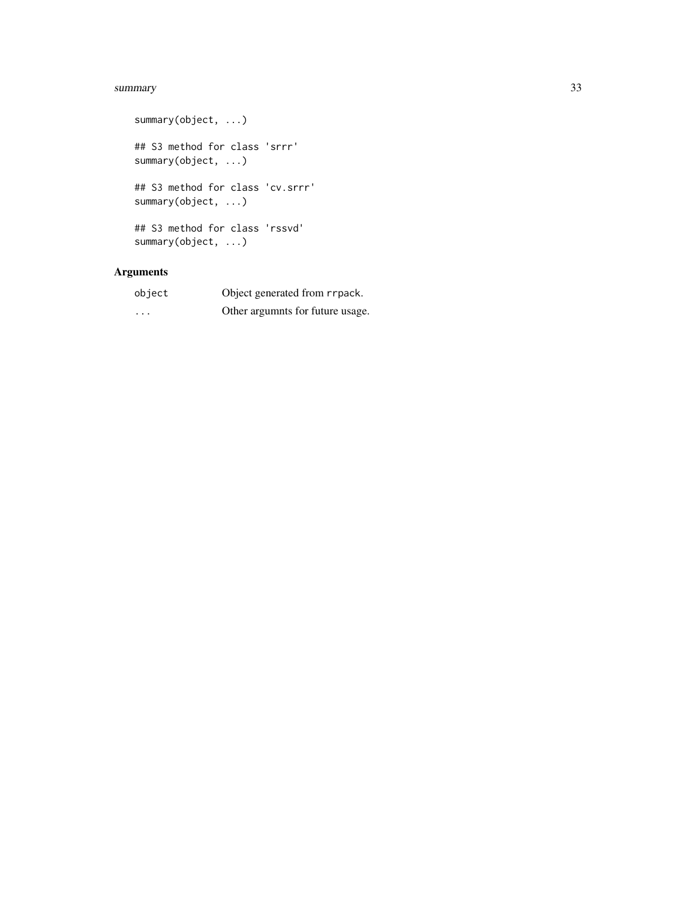#### summary 33

```
summary(object, ...)
## S3 method for class 'srrr'
summary(object, ...)
## S3 method for class 'cv.srrr'
summary(object, ...)
## S3 method for class 'rssvd'
summary(object, ...)
```

| object   | Object generated from rrpack.    |
|----------|----------------------------------|
| $\cdots$ | Other argumnts for future usage. |